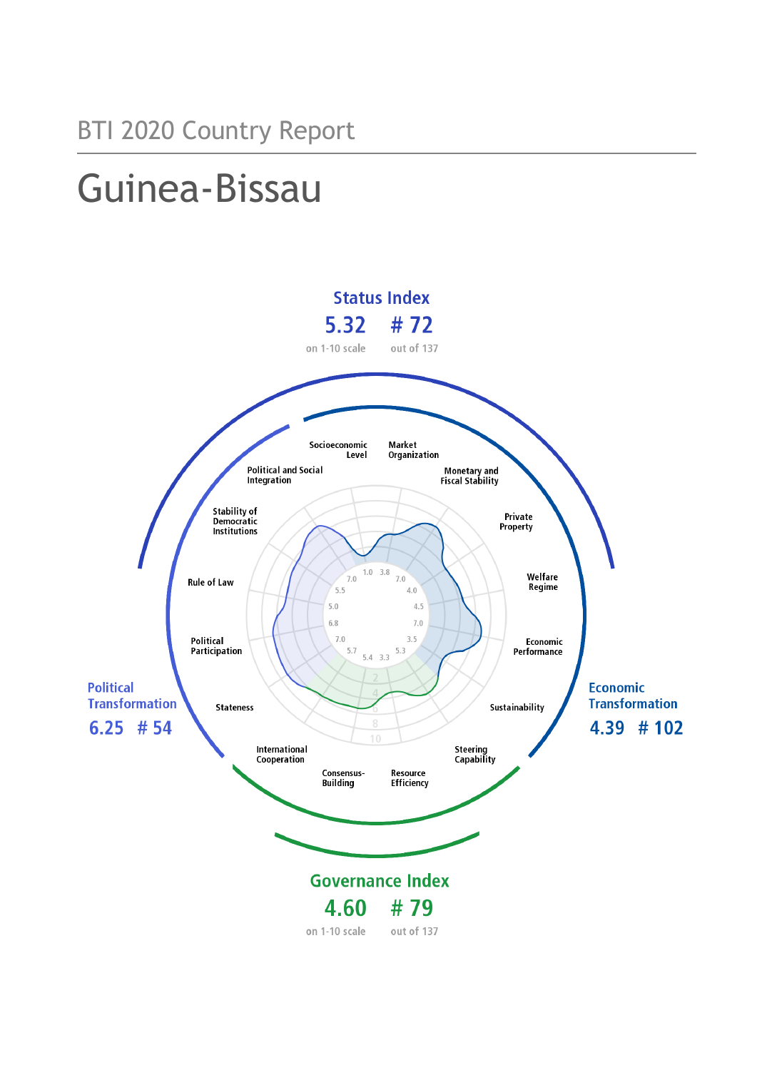# Guinea-Bissau

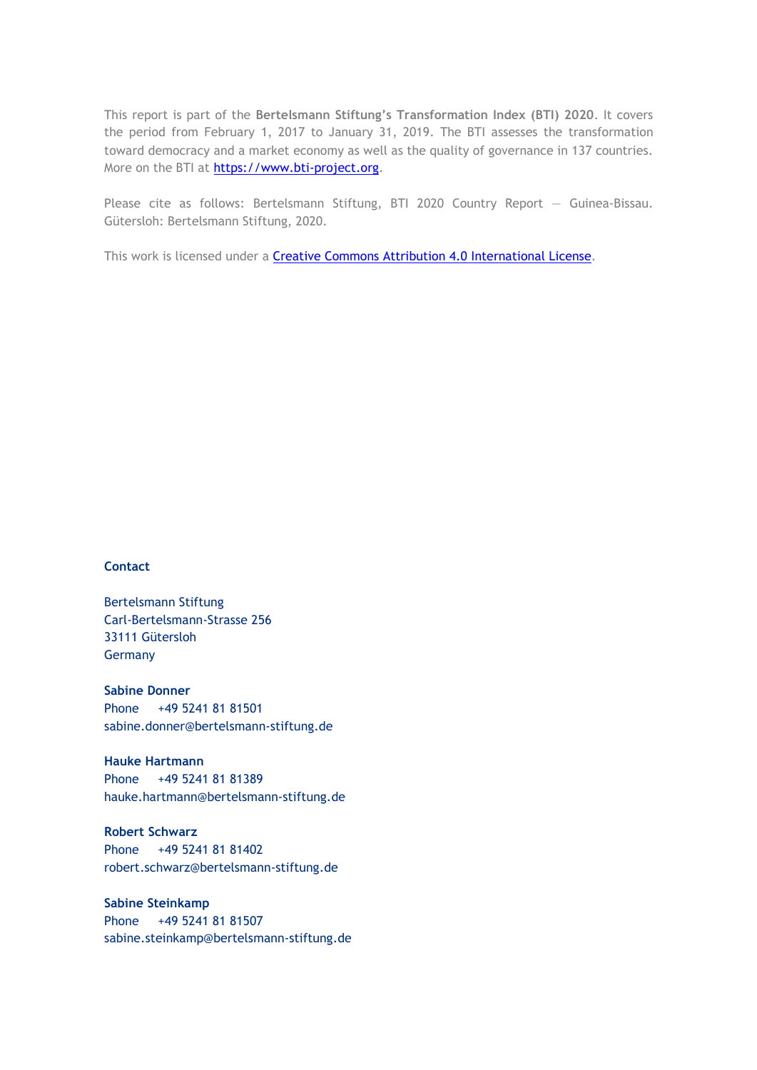This report is part of the **Bertelsmann Stiftung's Transformation Index (BTI) 2020**. It covers the period from February 1, 2017 to January 31, 2019. The BTI assesses the transformation toward democracy and a market economy as well as the quality of governance in 137 countries. More on the BTI at [https://www.bti-project.org.](https://www.bti-project.org/)

Please cite as follows: Bertelsmann Stiftung, BTI 2020 Country Report — Guinea-Bissau. Gütersloh: Bertelsmann Stiftung, 2020.

This work is licensed under a **Creative Commons Attribution 4.0 International License**.

#### **Contact**

Bertelsmann Stiftung Carl-Bertelsmann-Strasse 256 33111 Gütersloh Germany

**Sabine Donner** Phone +49 5241 81 81501 sabine.donner@bertelsmann-stiftung.de

**Hauke Hartmann** Phone +49 5241 81 81389 hauke.hartmann@bertelsmann-stiftung.de

**Robert Schwarz** Phone +49 5241 81 81402 robert.schwarz@bertelsmann-stiftung.de

**Sabine Steinkamp** Phone +49 5241 81 81507 sabine.steinkamp@bertelsmann-stiftung.de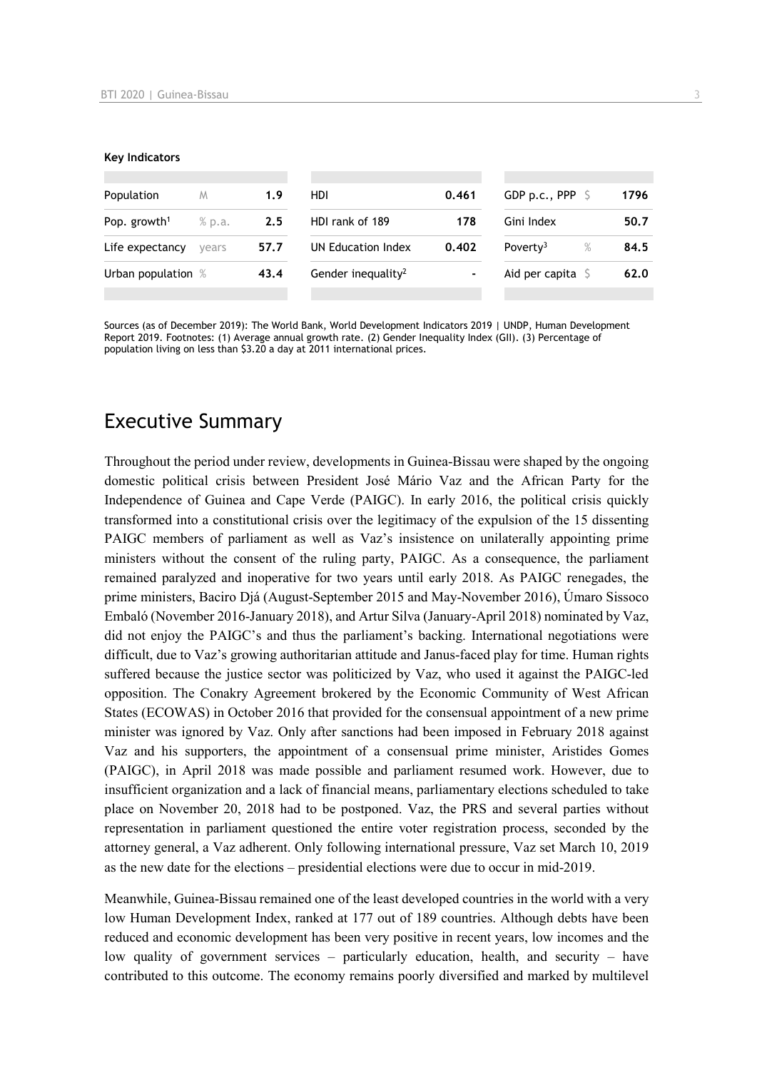#### **Key Indicators**

| Population               | M      | 1.9  | HDI                            | 0.461 | GDP p.c., PPP $\Diamond$ | 1796         |
|--------------------------|--------|------|--------------------------------|-------|--------------------------|--------------|
| Pop. growth <sup>1</sup> | % p.a. | 2.5  | HDI rank of 189                | 178   | Gini Index               | 50.7         |
| Life expectancy          | vears  | 57.7 | UN Education Index             | 0.402 | Poverty <sup>3</sup>     | $\%$<br>84.5 |
| Urban population %       |        | 43.4 | Gender inequality <sup>2</sup> | -     | Aid per capita           | 62.0         |
|                          |        |      |                                |       |                          |              |

Sources (as of December 2019): The World Bank, World Development Indicators 2019 | UNDP, Human Development Report 2019. Footnotes: (1) Average annual growth rate. (2) Gender Inequality Index (GII). (3) Percentage of population living on less than \$3.20 a day at 2011 international prices.

# Executive Summary

Throughout the period under review, developments in Guinea-Bissau were shaped by the ongoing domestic political crisis between President José Mário Vaz and the African Party for the Independence of Guinea and Cape Verde (PAIGC). In early 2016, the political crisis quickly transformed into a constitutional crisis over the legitimacy of the expulsion of the 15 dissenting PAIGC members of parliament as well as Vaz's insistence on unilaterally appointing prime ministers without the consent of the ruling party, PAIGC. As a consequence, the parliament remained paralyzed and inoperative for two years until early 2018. As PAIGC renegades, the prime ministers, Baciro Djá (August-September 2015 and May-November 2016), Úmaro Sissoco Embaló (November 2016-January 2018), and Artur Silva (January-April 2018) nominated by Vaz, did not enjoy the PAIGC's and thus the parliament's backing. International negotiations were difficult, due to Vaz's growing authoritarian attitude and Janus-faced play for time. Human rights suffered because the justice sector was politicized by Vaz, who used it against the PAIGC-led opposition. The Conakry Agreement brokered by the Economic Community of West African States (ECOWAS) in October 2016 that provided for the consensual appointment of a new prime minister was ignored by Vaz. Only after sanctions had been imposed in February 2018 against Vaz and his supporters, the appointment of a consensual prime minister, Aristides Gomes (PAIGC), in April 2018 was made possible and parliament resumed work. However, due to insufficient organization and a lack of financial means, parliamentary elections scheduled to take place on November 20, 2018 had to be postponed. Vaz, the PRS and several parties without representation in parliament questioned the entire voter registration process, seconded by the attorney general, a Vaz adherent. Only following international pressure, Vaz set March 10, 2019 as the new date for the elections – presidential elections were due to occur in mid-2019.

Meanwhile, Guinea-Bissau remained one of the least developed countries in the world with a very low Human Development Index, ranked at 177 out of 189 countries. Although debts have been reduced and economic development has been very positive in recent years, low incomes and the low quality of government services – particularly education, health, and security – have contributed to this outcome. The economy remains poorly diversified and marked by multilevel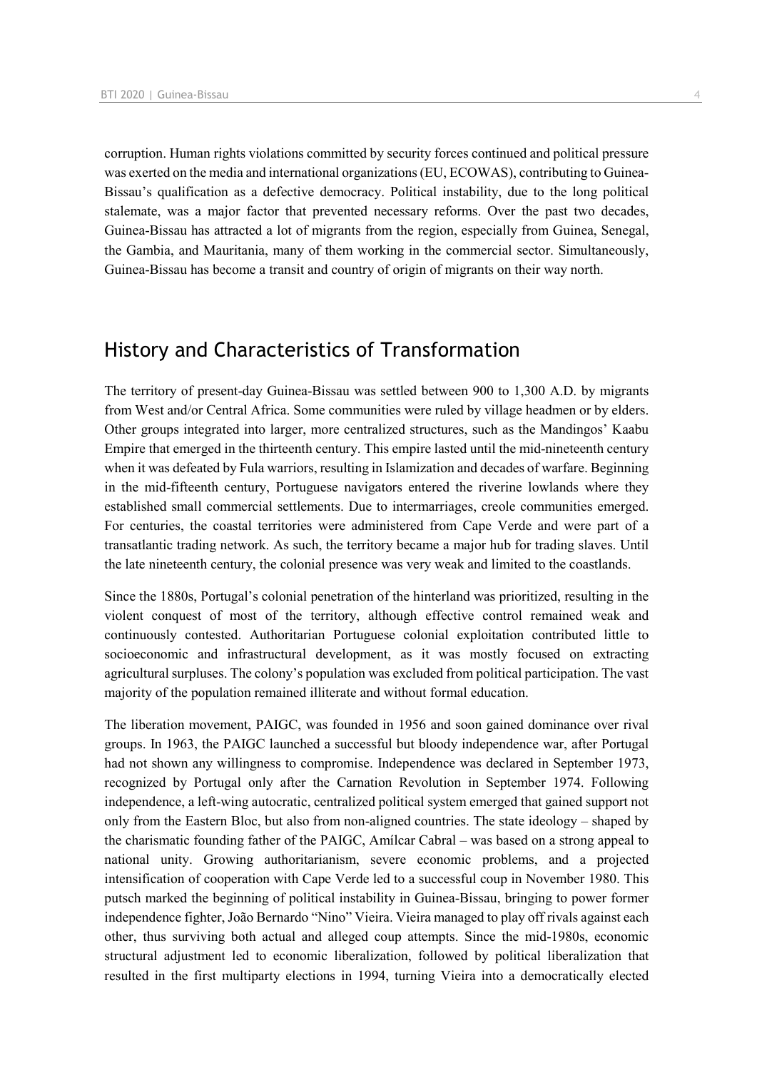corruption. Human rights violations committed by security forces continued and political pressure was exerted on the media and international organizations (EU, ECOWAS), contributing to Guinea-Bissau's qualification as a defective democracy. Political instability, due to the long political stalemate, was a major factor that prevented necessary reforms. Over the past two decades, Guinea-Bissau has attracted a lot of migrants from the region, especially from Guinea, Senegal, the Gambia, and Mauritania, many of them working in the commercial sector. Simultaneously, Guinea-Bissau has become a transit and country of origin of migrants on their way north.

# History and Characteristics of Transformation

The territory of present-day Guinea-Bissau was settled between 900 to 1,300 A.D. by migrants from West and/or Central Africa. Some communities were ruled by village headmen or by elders. Other groups integrated into larger, more centralized structures, such as the Mandingos' Kaabu Empire that emerged in the thirteenth century. This empire lasted until the mid-nineteenth century when it was defeated by Fula warriors, resulting in Islamization and decades of warfare. Beginning in the mid-fifteenth century, Portuguese navigators entered the riverine lowlands where they established small commercial settlements. Due to intermarriages, creole communities emerged. For centuries, the coastal territories were administered from Cape Verde and were part of a transatlantic trading network. As such, the territory became a major hub for trading slaves. Until the late nineteenth century, the colonial presence was very weak and limited to the coastlands.

Since the 1880s, Portugal's colonial penetration of the hinterland was prioritized, resulting in the violent conquest of most of the territory, although effective control remained weak and continuously contested. Authoritarian Portuguese colonial exploitation contributed little to socioeconomic and infrastructural development, as it was mostly focused on extracting agricultural surpluses. The colony's population was excluded from political participation. The vast majority of the population remained illiterate and without formal education.

The liberation movement, PAIGC, was founded in 1956 and soon gained dominance over rival groups. In 1963, the PAIGC launched a successful but bloody independence war, after Portugal had not shown any willingness to compromise. Independence was declared in September 1973, recognized by Portugal only after the Carnation Revolution in September 1974. Following independence, a left-wing autocratic, centralized political system emerged that gained support not only from the Eastern Bloc, but also from non-aligned countries. The state ideology – shaped by the charismatic founding father of the PAIGC, Amílcar Cabral – was based on a strong appeal to national unity. Growing authoritarianism, severe economic problems, and a projected intensification of cooperation with Cape Verde led to a successful coup in November 1980. This putsch marked the beginning of political instability in Guinea-Bissau, bringing to power former independence fighter, João Bernardo "Nino" Vieira. Vieira managed to play off rivals against each other, thus surviving both actual and alleged coup attempts. Since the mid-1980s, economic structural adjustment led to economic liberalization, followed by political liberalization that resulted in the first multiparty elections in 1994, turning Vieira into a democratically elected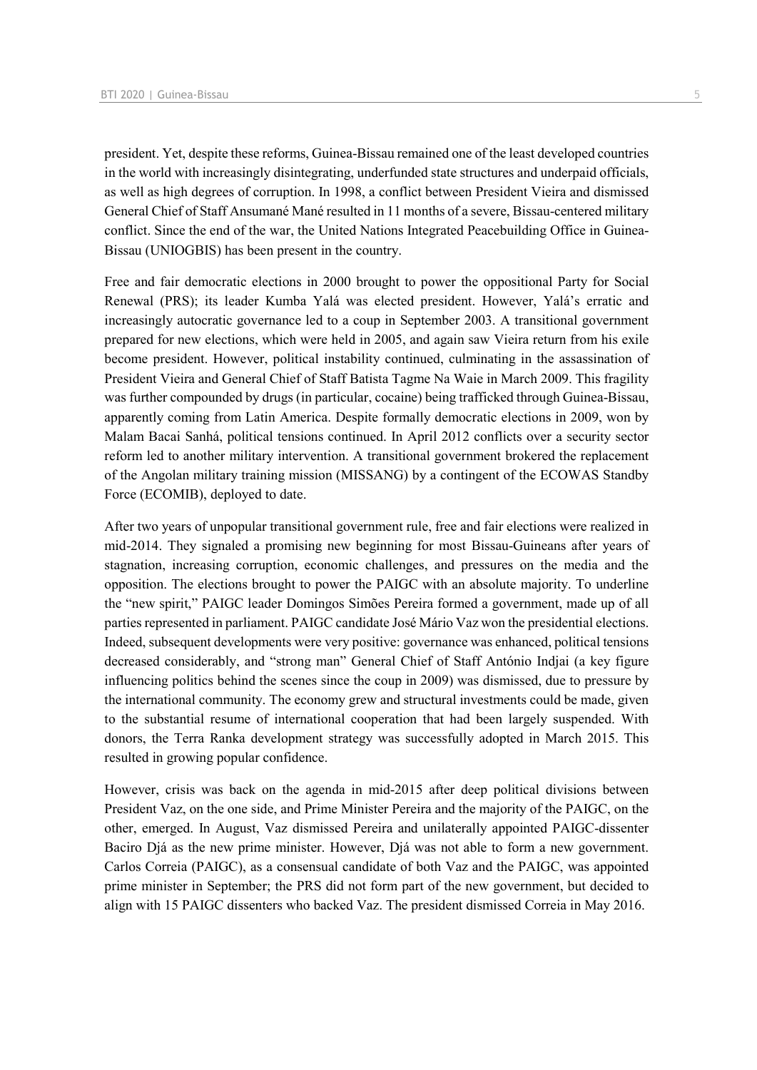president. Yet, despite these reforms, Guinea-Bissau remained one of the least developed countries in the world with increasingly disintegrating, underfunded state structures and underpaid officials, as well as high degrees of corruption. In 1998, a conflict between President Vieira and dismissed General Chief of Staff Ansumané Mané resulted in 11 months of a severe, Bissau-centered military conflict. Since the end of the war, the United Nations Integrated Peacebuilding Office in Guinea-Bissau (UNIOGBIS) has been present in the country.

Free and fair democratic elections in 2000 brought to power the oppositional Party for Social Renewal (PRS); its leader Kumba Yalá was elected president. However, Yalá's erratic and increasingly autocratic governance led to a coup in September 2003. A transitional government prepared for new elections, which were held in 2005, and again saw Vieira return from his exile become president. However, political instability continued, culminating in the assassination of President Vieira and General Chief of Staff Batista Tagme Na Waie in March 2009. This fragility was further compounded by drugs (in particular, cocaine) being trafficked through Guinea-Bissau, apparently coming from Latin America. Despite formally democratic elections in 2009, won by Malam Bacai Sanhá, political tensions continued. In April 2012 conflicts over a security sector reform led to another military intervention. A transitional government brokered the replacement of the Angolan military training mission (MISSANG) by a contingent of the ECOWAS Standby Force (ECOMIB), deployed to date.

After two years of unpopular transitional government rule, free and fair elections were realized in mid-2014. They signaled a promising new beginning for most Bissau-Guineans after years of stagnation, increasing corruption, economic challenges, and pressures on the media and the opposition. The elections brought to power the PAIGC with an absolute majority. To underline the "new spirit," PAIGC leader Domingos Simões Pereira formed a government, made up of all parties represented in parliament. PAIGC candidate José Mário Vaz won the presidential elections. Indeed, subsequent developments were very positive: governance was enhanced, political tensions decreased considerably, and "strong man" General Chief of Staff António Indjai (a key figure influencing politics behind the scenes since the coup in 2009) was dismissed, due to pressure by the international community. The economy grew and structural investments could be made, given to the substantial resume of international cooperation that had been largely suspended. With donors, the Terra Ranka development strategy was successfully adopted in March 2015. This resulted in growing popular confidence.

However, crisis was back on the agenda in mid-2015 after deep political divisions between President Vaz, on the one side, and Prime Minister Pereira and the majority of the PAIGC, on the other, emerged. In August, Vaz dismissed Pereira and unilaterally appointed PAIGC-dissenter Baciro Djá as the new prime minister. However, Djá was not able to form a new government. Carlos Correia (PAIGC), as a consensual candidate of both Vaz and the PAIGC, was appointed prime minister in September; the PRS did not form part of the new government, but decided to align with 15 PAIGC dissenters who backed Vaz. The president dismissed Correia in May 2016.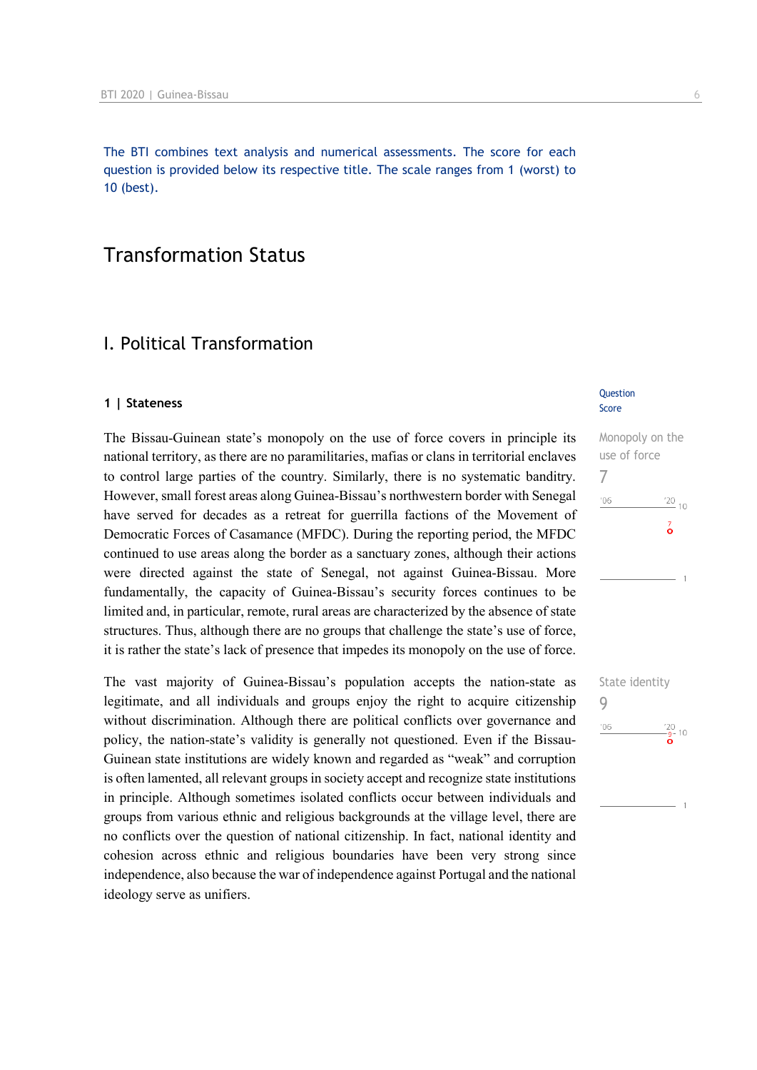The BTI combines text analysis and numerical assessments. The score for each question is provided below its respective title. The scale ranges from 1 (worst) to 10 (best).

# Transformation Status

## I. Political Transformation

#### **1 | Stateness**

The Bissau-Guinean state's monopoly on the use of force covers in principle its national territory, as there are no paramilitaries, mafias or clans in territorial enclaves to control large parties of the country. Similarly, there is no systematic banditry. However, small forest areas along Guinea-Bissau's northwestern border with Senegal have served for decades as a retreat for guerrilla factions of the Movement of Democratic Forces of Casamance (MFDC). During the reporting period, the MFDC continued to use areas along the border as a sanctuary zones, although their actions were directed against the state of Senegal, not against Guinea-Bissau. More fundamentally, the capacity of Guinea-Bissau's security forces continues to be limited and, in particular, remote, rural areas are characterized by the absence of state structures. Thus, although there are no groups that challenge the state's use of force, it is rather the state's lack of presence that impedes its monopoly on the use of force.

The vast majority of Guinea-Bissau's population accepts the nation-state as legitimate, and all individuals and groups enjoy the right to acquire citizenship without discrimination. Although there are political conflicts over governance and policy, the nation-state's validity is generally not questioned. Even if the Bissau-Guinean state institutions are widely known and regarded as "weak" and corruption is often lamented, all relevant groups in society accept and recognize state institutions in principle. Although sometimes isolated conflicts occur between individuals and groups from various ethnic and religious backgrounds at the village level, there are no conflicts over the question of national citizenship. In fact, national identity and cohesion across ethnic and religious boundaries have been very strong since independence, also because the war of independence against Portugal and the national ideology serve as unifiers.

#### Question Score

Monopoly on the use of force 7  $\frac{20}{10}$  $06$  $\vec{\circ}$ 

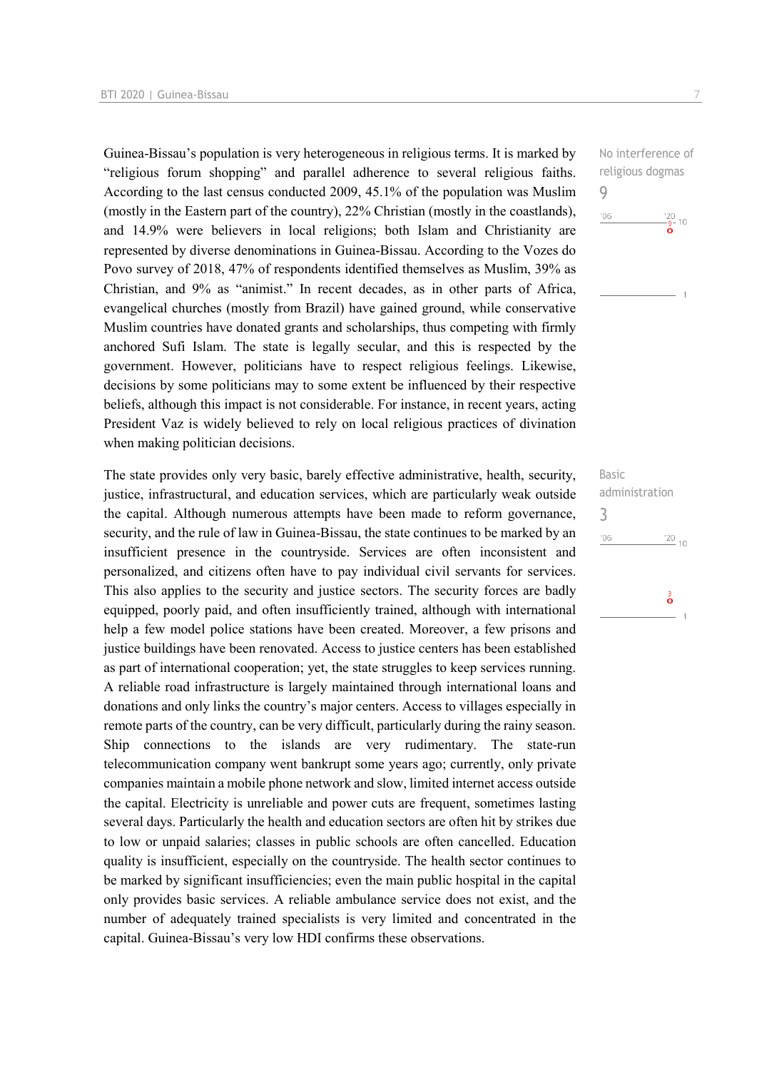Guinea-Bissau's population is very heterogeneous in religious terms. It is marked by "religious forum shopping" and parallel adherence to several religious faiths. According to the last census conducted 2009, 45.1% of the population was Muslim (mostly in the Eastern part of the country), 22% Christian (mostly in the coastlands), and 14.9% were believers in local religions; both Islam and Christianity are represented by diverse denominations in Guinea-Bissau. According to the Vozes do Povo survey of 2018, 47% of respondents identified themselves as Muslim, 39% as Christian, and 9% as "animist." In recent decades, as in other parts of Africa, evangelical churches (mostly from Brazil) have gained ground, while conservative Muslim countries have donated grants and scholarships, thus competing with firmly anchored Sufi Islam. The state is legally secular, and this is respected by the government. However, politicians have to respect religious feelings. Likewise, decisions by some politicians may to some extent be influenced by their respective beliefs, although this impact is not considerable. For instance, in recent years, acting President Vaz is widely believed to rely on local religious practices of divination when making politician decisions.

The state provides only very basic, barely effective administrative, health, security, justice, infrastructural, and education services, which are particularly weak outside the capital. Although numerous attempts have been made to reform governance, security, and the rule of law in Guinea-Bissau, the state continues to be marked by an insufficient presence in the countryside. Services are often inconsistent and personalized, and citizens often have to pay individual civil servants for services. This also applies to the security and justice sectors. The security forces are badly equipped, poorly paid, and often insufficiently trained, although with international help a few model police stations have been created. Moreover, a few prisons and justice buildings have been renovated. Access to justice centers has been established as part of international cooperation; yet, the state struggles to keep services running. A reliable road infrastructure is largely maintained through international loans and donations and only links the country's major centers. Access to villages especially in remote parts of the country, can be very difficult, particularly during the rainy season. Ship connections to the islands are very rudimentary. The state-run telecommunication company went bankrupt some years ago; currently, only private companies maintain a mobile phone network and slow, limited internet access outside the capital. Electricity is unreliable and power cuts are frequent, sometimes lasting several days. Particularly the health and education sectors are often hit by strikes due to low or unpaid salaries; classes in public schools are often cancelled. Education quality is insufficient, especially on the countryside. The health sector continues to be marked by significant insufficiencies; even the main public hospital in the capital only provides basic services. A reliable ambulance service does not exist, and the number of adequately trained specialists is very limited and concentrated in the capital. Guinea-Bissau's very low HDI confirms these observations.

No interference of religious dogmas 9  $'06$  $\frac{120}{9}$  10

Basic administration 3 $\frac{20}{10}$  10  $106$ å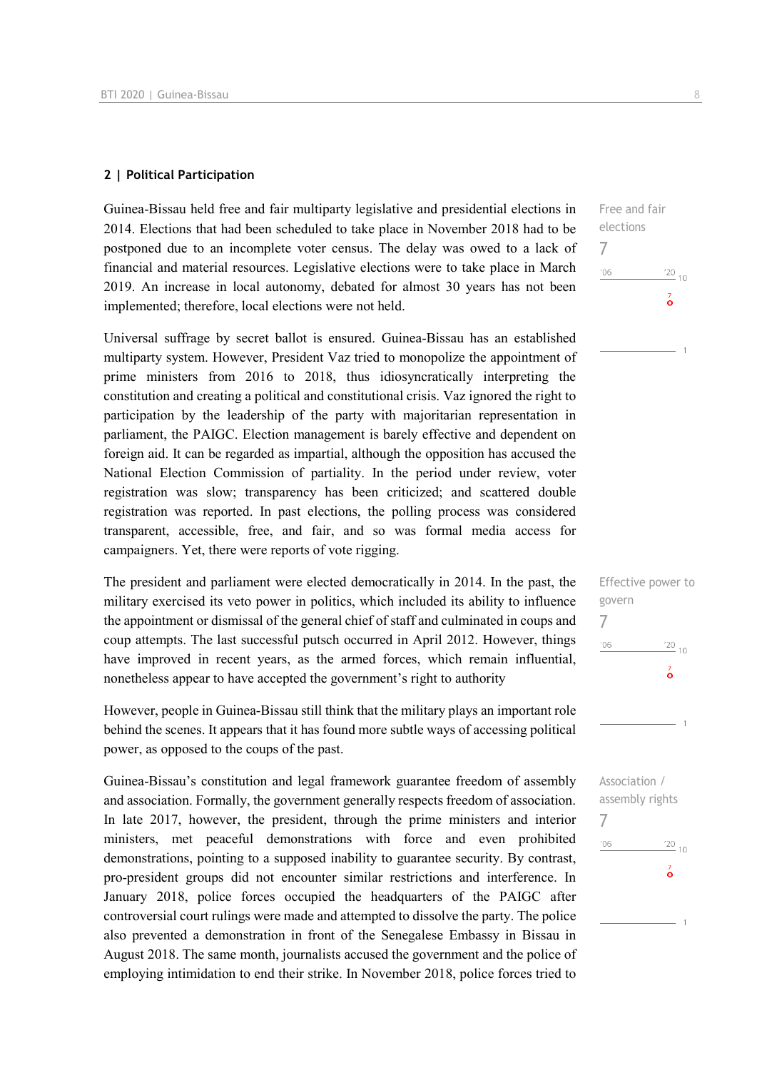#### **2 | Political Participation**

Guinea-Bissau held free and fair multiparty legislative and presidential elections in 2014. Elections that had been scheduled to take place in November 2018 had to be postponed due to an incomplete voter census. The delay was owed to a lack of financial and material resources. Legislative elections were to take place in March 2019. An increase in local autonomy, debated for almost 30 years has not been implemented; therefore, local elections were not held.

Universal suffrage by secret ballot is ensured. Guinea-Bissau has an established multiparty system. However, President Vaz tried to monopolize the appointment of prime ministers from 2016 to 2018, thus idiosyncratically interpreting the constitution and creating a political and constitutional crisis. Vaz ignored the right to participation by the leadership of the party with majoritarian representation in parliament, the PAIGC. Election management is barely effective and dependent on foreign aid. It can be regarded as impartial, although the opposition has accused the National Election Commission of partiality. In the period under review, voter registration was slow; transparency has been criticized; and scattered double registration was reported. In past elections, the polling process was considered transparent, accessible, free, and fair, and so was formal media access for campaigners. Yet, there were reports of vote rigging.

The president and parliament were elected democratically in 2014. In the past, the military exercised its veto power in politics, which included its ability to influence the appointment or dismissal of the general chief of staff and culminated in coups and coup attempts. The last successful putsch occurred in April 2012. However, things have improved in recent years, as the armed forces, which remain influential, nonetheless appear to have accepted the government's right to authority

However, people in Guinea-Bissau still think that the military plays an important role behind the scenes. It appears that it has found more subtle ways of accessing political power, as opposed to the coups of the past.

Guinea-Bissau's constitution and legal framework guarantee freedom of assembly and association. Formally, the government generally respects freedom of association. In late 2017, however, the president, through the prime ministers and interior ministers, met peaceful demonstrations with force and even prohibited demonstrations, pointing to a supposed inability to guarantee security. By contrast, pro-president groups did not encounter similar restrictions and interference. In January 2018, police forces occupied the headquarters of the PAIGC after controversial court rulings were made and attempted to dissolve the party. The police also prevented a demonstration in front of the Senegalese Embassy in Bissau in August 2018. The same month, journalists accused the government and the police of employing intimidation to end their strike. In November 2018, police forces tried to

Free and fair elections 7  $06'$  $\frac{20}{10}$  $\overline{6}$ 

| Ellective bowel to |                 |
|--------------------|-----------------|
| govern             |                 |
|                    |                 |
| 106                | $\frac{20}{10}$ |
|                    | ő               |
|                    |                 |
|                    |                 |

 $Eff = 11.7$ 

| Association /   |             |
|-----------------|-------------|
| assembly rights |             |
|                 |             |
| '06             | $^{'}20$ 10 |
|                 | ő           |
|                 |             |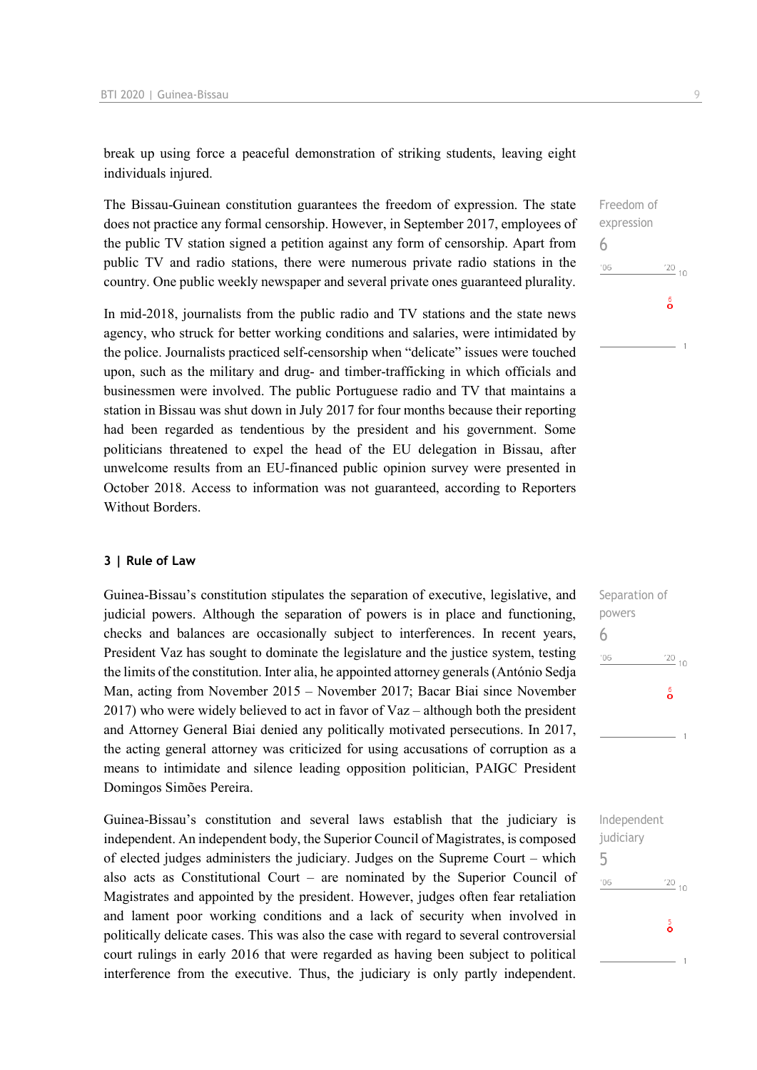break up using force a peaceful demonstration of striking students, leaving eight individuals injured.

The Bissau-Guinean constitution guarantees the freedom of expression. The state does not practice any formal censorship. However, in September 2017, employees of the public TV station signed a petition against any form of censorship. Apart from public TV and radio stations, there were numerous private radio stations in the country. One public weekly newspaper and several private ones guaranteed plurality.

In mid-2018, journalists from the public radio and TV stations and the state news agency, who struck for better working conditions and salaries, were intimidated by the police. Journalists practiced self-censorship when "delicate" issues were touched upon, such as the military and drug- and timber-trafficking in which officials and businessmen were involved. The public Portuguese radio and TV that maintains a station in Bissau was shut down in July 2017 for four months because their reporting had been regarded as tendentious by the president and his government. Some politicians threatened to expel the head of the EU delegation in Bissau, after unwelcome results from an EU-financed public opinion survey were presented in October 2018. Access to information was not guaranteed, according to Reporters Without Borders.

#### **3 | Rule of Law**

Guinea-Bissau's constitution stipulates the separation of executive, legislative, and judicial powers. Although the separation of powers is in place and functioning, checks and balances are occasionally subject to interferences. In recent years, President Vaz has sought to dominate the legislature and the justice system, testing the limits of the constitution. Inter alia, he appointed attorney generals (António Sedja Man, acting from November 2015 – November 2017; Bacar Biai since November 2017) who were widely believed to act in favor of Vaz – although both the president and Attorney General Biai denied any politically motivated persecutions. In 2017, the acting general attorney was criticized for using accusations of corruption as a means to intimidate and silence leading opposition politician, PAIGC President Domingos Simões Pereira.

Guinea-Bissau's constitution and several laws establish that the judiciary is independent. An independent body, the Superior Council of Magistrates, is composed of elected judges administers the judiciary. Judges on the Supreme Court – which also acts as Constitutional Court – are nominated by the Superior Council of Magistrates and appointed by the president. However, judges often fear retaliation and lament poor working conditions and a lack of security when involved in politically delicate cases. This was also the case with regard to several controversial court rulings in early 2016 that were regarded as having been subject to political interference from the executive. Thus, the judiciary is only partly independent.

# Freedom of expression 6  $\frac{20}{10}$  $106$  $\frac{6}{2}$

| Separation of |                           |
|---------------|---------------------------|
| powers        |                           |
| 6             |                           |
| '06           | $^{20}$ 10                |
|               |                           |
|               | $\overset{6}{\mathbf{o}}$ |
|               |                           |
|               |                           |
|               |                           |

| judiciary |                    |  |
|-----------|--------------------|--|
| 5         |                    |  |
| '06       | $\frac{20}{10}$ 10 |  |
|           | ŏ                  |  |
|           |                    |  |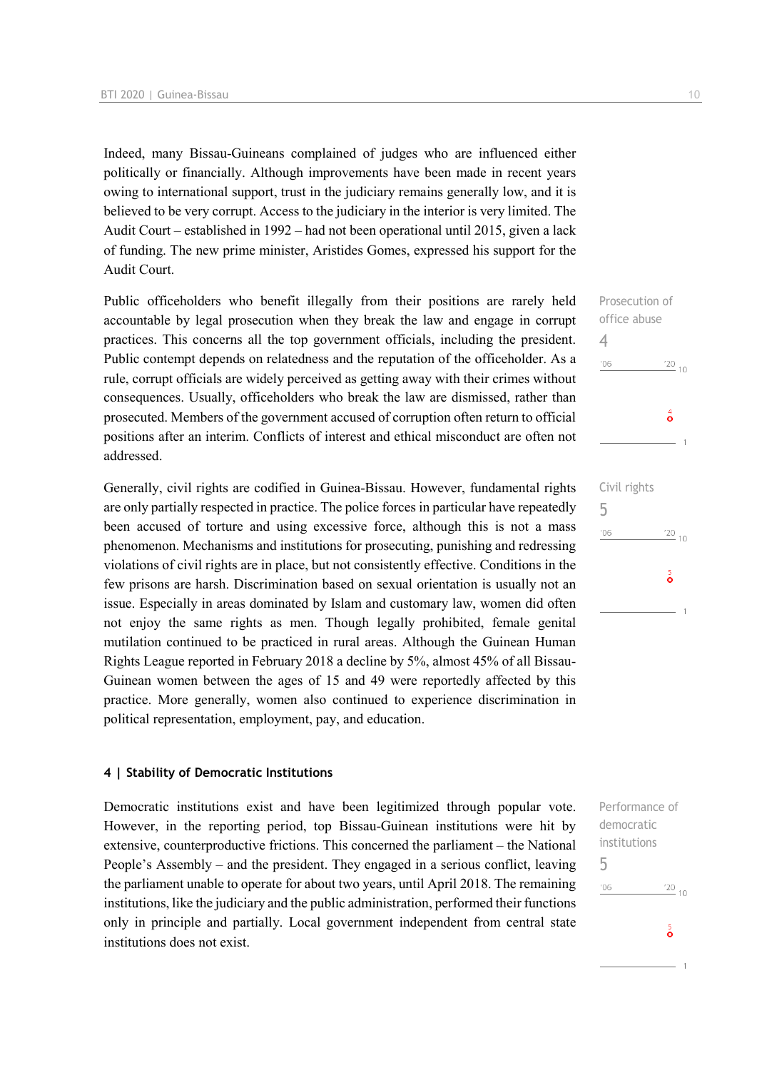Indeed, many Bissau-Guineans complained of judges who are influenced either politically or financially. Although improvements have been made in recent years owing to international support, trust in the judiciary remains generally low, and it is believed to be very corrupt. Access to the judiciary in the interior is very limited. The Audit Court – established in 1992 – had not been operational until 2015, given a lack of funding. The new prime minister, Aristides Gomes, expressed his support for the Audit Court.

Public officeholders who benefit illegally from their positions are rarely held accountable by legal prosecution when they break the law and engage in corrupt practices. This concerns all the top government officials, including the president. Public contempt depends on relatedness and the reputation of the officeholder. As a rule, corrupt officials are widely perceived as getting away with their crimes without consequences. Usually, officeholders who break the law are dismissed, rather than prosecuted. Members of the government accused of corruption often return to official positions after an interim. Conflicts of interest and ethical misconduct are often not addressed.

Generally, civil rights are codified in Guinea-Bissau. However, fundamental rights are only partially respected in practice. The police forces in particular have repeatedly been accused of torture and using excessive force, although this is not a mass phenomenon. Mechanisms and institutions for prosecuting, punishing and redressing violations of civil rights are in place, but not consistently effective. Conditions in the few prisons are harsh. Discrimination based on sexual orientation is usually not an issue. Especially in areas dominated by Islam and customary law, women did often not enjoy the same rights as men. Though legally prohibited, female genital mutilation continued to be practiced in rural areas. Although the Guinean Human Rights League reported in February 2018 a decline by 5%, almost 45% of all Bissau-Guinean women between the ages of 15 and 49 were reportedly affected by this practice. More generally, women also continued to experience discrimination in political representation, employment, pay, and education.

#### **4 | Stability of Democratic Institutions**

Democratic institutions exist and have been legitimized through popular vote. However, in the reporting period, top Bissau-Guinean institutions were hit by extensive, counterproductive frictions. This concerned the parliament – the National People's Assembly – and the president. They engaged in a serious conflict, leaving the parliament unable to operate for about two years, until April 2018. The remaining institutions, like the judiciary and the public administration, performed their functions only in principle and partially. Local government independent from central state institutions does not exist.

 $\frac{20}{10}$ 

 $\frac{5}{9}$ 

4

 $'06$ 

5

 $'06$ 

Performance of democratic institutions 5 $\frac{20}{10}$  10  $106$  $\frac{5}{9}$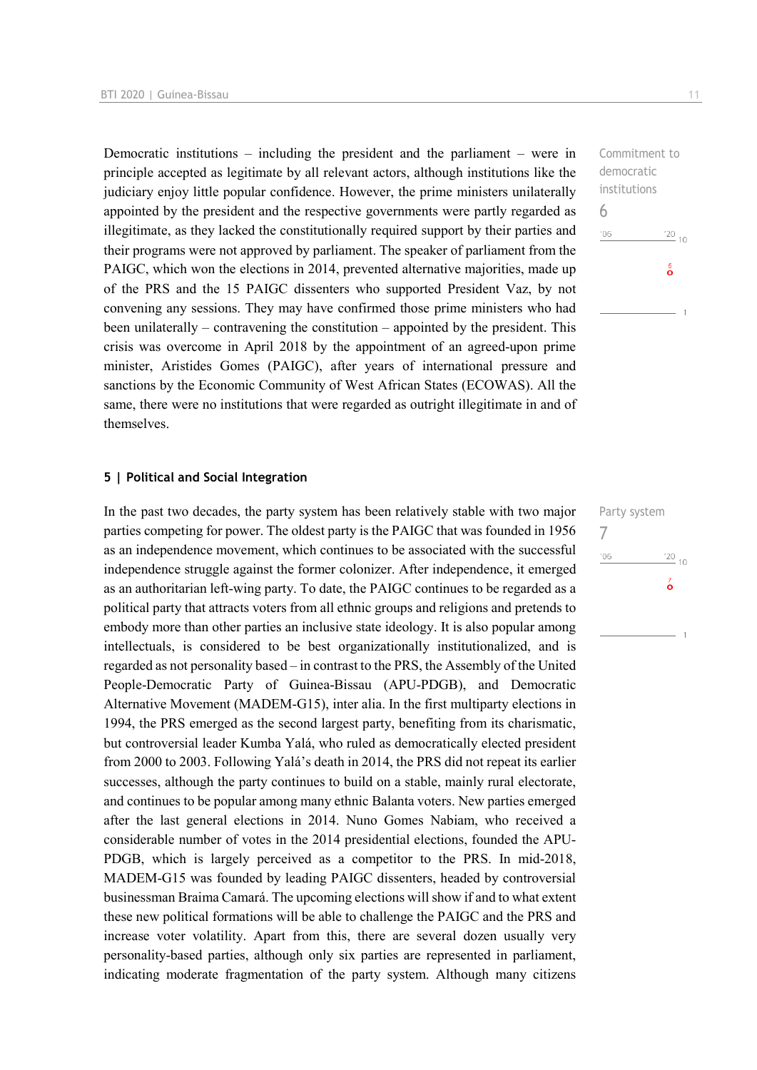Democratic institutions – including the president and the parliament – were in principle accepted as legitimate by all relevant actors, although institutions like the judiciary enjoy little popular confidence. However, the prime ministers unilaterally appointed by the president and the respective governments were partly regarded as illegitimate, as they lacked the constitutionally required support by their parties and their programs were not approved by parliament. The speaker of parliament from the PAIGC, which won the elections in 2014, prevented alternative majorities, made up of the PRS and the 15 PAIGC dissenters who supported President Vaz, by not convening any sessions. They may have confirmed those prime ministers who had been unilaterally – contravening the constitution – appointed by the president. This crisis was overcome in April 2018 by the appointment of an agreed-upon prime minister, Aristides Gomes (PAIGC), after years of international pressure and sanctions by the Economic Community of West African States (ECOWAS). All the same, there were no institutions that were regarded as outright illegitimate in and of themselves.

#### **5 | Political and Social Integration**

In the past two decades, the party system has been relatively stable with two major parties competing for power. The oldest party is the PAIGC that was founded in 1956 as an independence movement, which continues to be associated with the successful independence struggle against the former colonizer. After independence, it emerged as an authoritarian left-wing party. To date, the PAIGC continues to be regarded as a political party that attracts voters from all ethnic groups and religions and pretends to embody more than other parties an inclusive state ideology. It is also popular among intellectuals, is considered to be best organizationally institutionalized, and is regarded as not personality based – in contrast to the PRS, the Assembly of the United People-Democratic Party of Guinea-Bissau (APU-PDGB), and Democratic Alternative Movement (MADEM-G15), inter alia. In the first multiparty elections in 1994, the PRS emerged as the second largest party, benefiting from its charismatic, but controversial leader Kumba Yalá, who ruled as democratically elected president from 2000 to 2003. Following Yalá's death in 2014, the PRS did not repeat its earlier successes, although the party continues to build on a stable, mainly rural electorate, and continues to be popular among many ethnic Balanta voters. New parties emerged after the last general elections in 2014. Nuno Gomes Nabiam, who received a considerable number of votes in the 2014 presidential elections, founded the APU-PDGB, which is largely perceived as a competitor to the PRS. In mid-2018, MADEM-G15 was founded by leading PAIGC dissenters, headed by controversial businessman Braima Camará. The upcoming elections will show if and to what extent these new political formations will be able to challenge the PAIGC and the PRS and increase voter volatility. Apart from this, there are several dozen usually very personality-based parties, although only six parties are represented in parliament, indicating moderate fragmentation of the party system. Although many citizens

Commitment to democratic institutions 6  $106$  $\frac{6}{9}$ 

Party system 7 $06'$  $\frac{20}{10}$  $\overline{6}$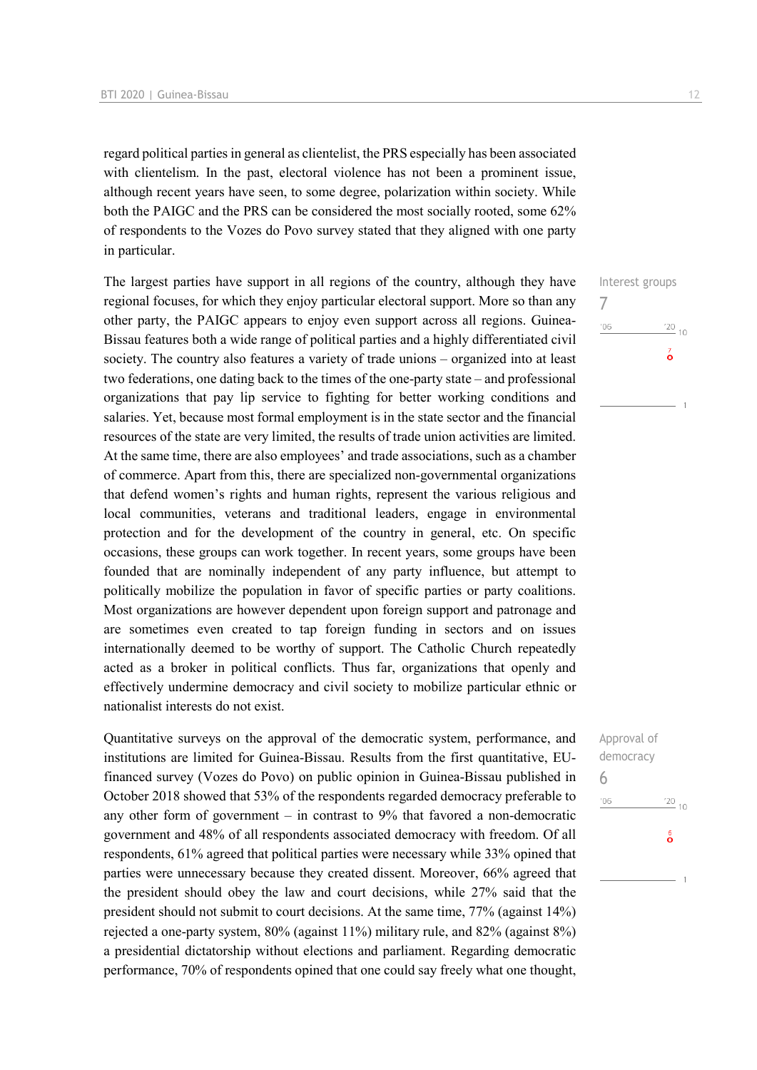regard political parties in general as clientelist, the PRS especially has been associated with clientelism. In the past, electoral violence has not been a prominent issue, although recent years have seen, to some degree, polarization within society. While both the PAIGC and the PRS can be considered the most socially rooted, some 62% of respondents to the Vozes do Povo survey stated that they aligned with one party in particular.

The largest parties have support in all regions of the country, although they have regional focuses, for which they enjoy particular electoral support. More so than any other party, the PAIGC appears to enjoy even support across all regions. Guinea-Bissau features both a wide range of political parties and a highly differentiated civil society. The country also features a variety of trade unions – organized into at least two federations, one dating back to the times of the one-party state – and professional organizations that pay lip service to fighting for better working conditions and salaries. Yet, because most formal employment is in the state sector and the financial resources of the state are very limited, the results of trade union activities are limited. At the same time, there are also employees' and trade associations, such as a chamber of commerce. Apart from this, there are specialized non-governmental organizations that defend women's rights and human rights, represent the various religious and local communities, veterans and traditional leaders, engage in environmental protection and for the development of the country in general, etc. On specific occasions, these groups can work together. In recent years, some groups have been founded that are nominally independent of any party influence, but attempt to politically mobilize the population in favor of specific parties or party coalitions. Most organizations are however dependent upon foreign support and patronage and are sometimes even created to tap foreign funding in sectors and on issues internationally deemed to be worthy of support. The Catholic Church repeatedly acted as a broker in political conflicts. Thus far, organizations that openly and effectively undermine democracy and civil society to mobilize particular ethnic or nationalist interests do not exist.

Quantitative surveys on the approval of the democratic system, performance, and institutions are limited for Guinea-Bissau. Results from the first quantitative, EUfinanced survey (Vozes do Povo) on public opinion in Guinea-Bissau published in October 2018 showed that 53% of the respondents regarded democracy preferable to any other form of government – in contrast to 9% that favored a non-democratic government and 48% of all respondents associated democracy with freedom. Of all respondents, 61% agreed that political parties were necessary while 33% opined that parties were unnecessary because they created dissent. Moreover, 66% agreed that the president should obey the law and court decisions, while 27% said that the president should not submit to court decisions. At the same time, 77% (against 14%) rejected a one-party system, 80% (against 11%) military rule, and 82% (against 8%) a presidential dictatorship without elections and parliament. Regarding democratic performance, 70% of respondents opined that one could say freely what one thought,

# Interest groups 7  $06'$  $\frac{20}{10}$  $\vec{\circ}$

| Approval of |             |  |
|-------------|-------------|--|
| democracy   |             |  |
| 6           |             |  |
| '06         | $^{220}$ 10 |  |
|             | စိ          |  |
|             |             |  |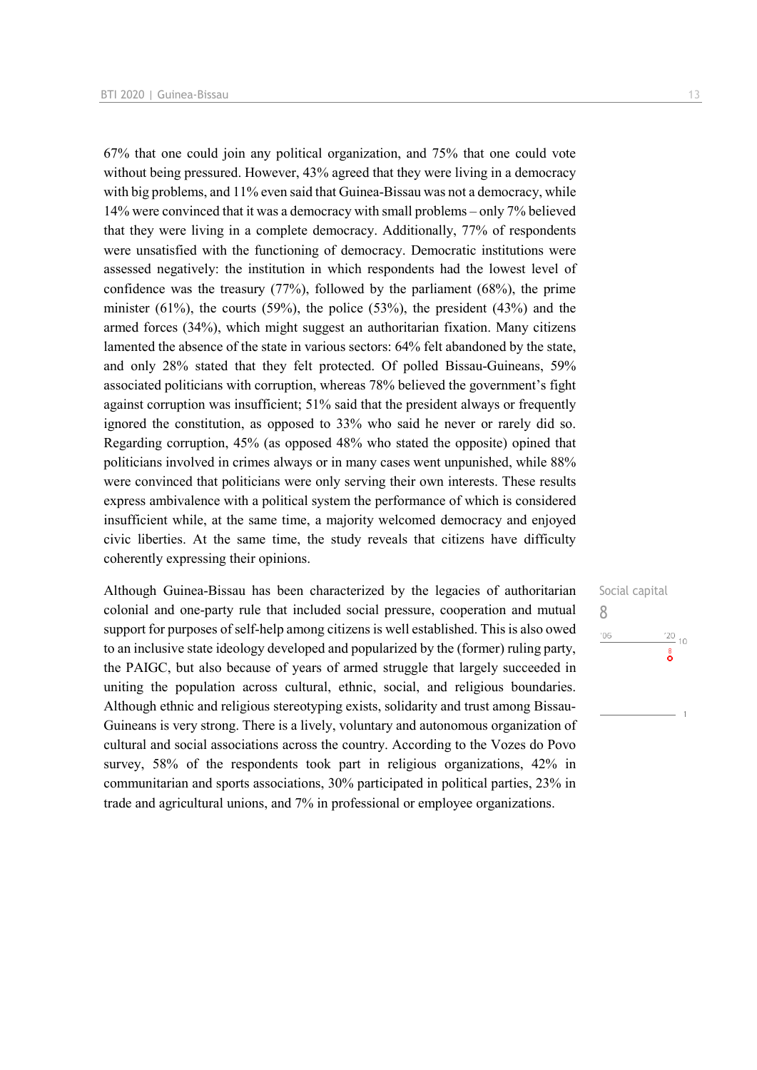67% that one could join any political organization, and 75% that one could vote without being pressured. However, 43% agreed that they were living in a democracy with big problems, and 11% even said that Guinea-Bissau was not a democracy, while 14% were convinced that it was a democracy with small problems – only 7% believed that they were living in a complete democracy. Additionally, 77% of respondents were unsatisfied with the functioning of democracy. Democratic institutions were assessed negatively: the institution in which respondents had the lowest level of confidence was the treasury (77%), followed by the parliament (68%), the prime minister  $(61\%)$ , the courts  $(59\%)$ , the police  $(53\%)$ , the president  $(43\%)$  and the armed forces (34%), which might suggest an authoritarian fixation. Many citizens lamented the absence of the state in various sectors: 64% felt abandoned by the state, and only 28% stated that they felt protected. Of polled Bissau-Guineans, 59% associated politicians with corruption, whereas 78% believed the government's fight against corruption was insufficient; 51% said that the president always or frequently ignored the constitution, as opposed to 33% who said he never or rarely did so. Regarding corruption, 45% (as opposed 48% who stated the opposite) opined that politicians involved in crimes always or in many cases went unpunished, while 88% were convinced that politicians were only serving their own interests. These results express ambivalence with a political system the performance of which is considered insufficient while, at the same time, a majority welcomed democracy and enjoyed civic liberties. At the same time, the study reveals that citizens have difficulty coherently expressing their opinions.

Although Guinea-Bissau has been characterized by the legacies of authoritarian colonial and one-party rule that included social pressure, cooperation and mutual support for purposes of self-help among citizens is well established. This is also owed to an inclusive state ideology developed and popularized by the (former) ruling party, the PAIGC, but also because of years of armed struggle that largely succeeded in uniting the population across cultural, ethnic, social, and religious boundaries. Although ethnic and religious stereotyping exists, solidarity and trust among Bissau-Guineans is very strong. There is a lively, voluntary and autonomous organization of cultural and social associations across the country. According to the Vozes do Povo survey, 58% of the respondents took part in religious organizations, 42% in communitarian and sports associations, 30% participated in political parties, 23% in trade and agricultural unions, and 7% in professional or employee organizations.

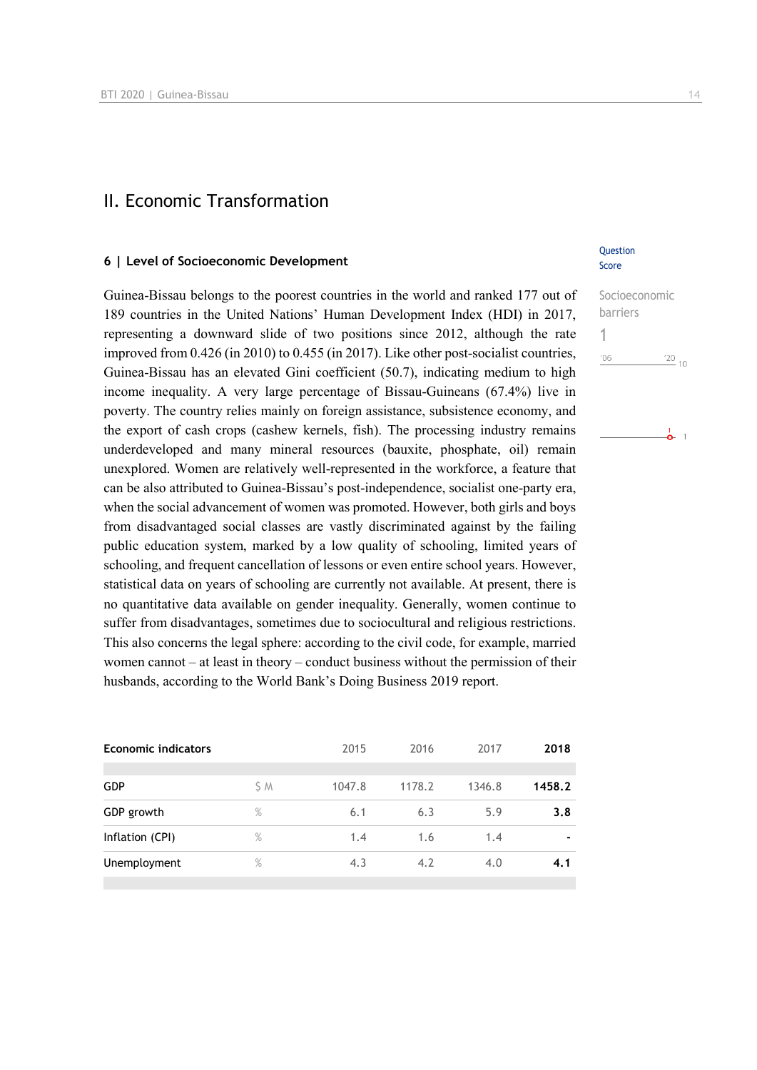### II. Economic Transformation

#### **6 | Level of Socioeconomic Development**

Guinea-Bissau belongs to the poorest countries in the world and ranked 177 out of 189 countries in the United Nations' Human Development Index (HDI) in 2017, representing a downward slide of two positions since 2012, although the rate improved from 0.426 (in 2010) to 0.455 (in 2017). Like other post-socialist countries, Guinea-Bissau has an elevated Gini coefficient (50.7), indicating medium to high income inequality. A very large percentage of Bissau-Guineans (67.4%) live in poverty. The country relies mainly on foreign assistance, subsistence economy, and the export of cash crops (cashew kernels, fish). The processing industry remains underdeveloped and many mineral resources (bauxite, phosphate, oil) remain unexplored. Women are relatively well-represented in the workforce, a feature that can be also attributed to Guinea-Bissau's post-independence, socialist one-party era, when the social advancement of women was promoted. However, both girls and boys from disadvantaged social classes are vastly discriminated against by the failing public education system, marked by a low quality of schooling, limited years of schooling, and frequent cancellation of lessons or even entire school years. However, statistical data on years of schooling are currently not available. At present, there is no quantitative data available on gender inequality. Generally, women continue to suffer from disadvantages, sometimes due to sociocultural and religious restrictions. This also concerns the legal sphere: according to the civil code, for example, married women cannot – at least in theory – conduct business without the permission of their husbands, according to the World Bank's Doing Business 2019 report.

| <b>Economic indicators</b> |      | 2015   | 2016   | 2017   | 2018                     |
|----------------------------|------|--------|--------|--------|--------------------------|
| <b>GDP</b>                 | S M  | 1047.8 | 1178.2 | 1346.8 | 1458.2                   |
| GDP growth                 | %    | 6.1    | 6.3    | 5.9    | 3.8                      |
| Inflation (CPI)            | $\%$ | 1.4    | 1.6    | 1.4    | $\overline{\phantom{0}}$ |
| Unemployment               | $\%$ | 4.3    | 4.2    | 4.0    | 4.1                      |
|                            |      |        |        |        |                          |

#### Question Score

| Socioeconomic |         |
|---------------|---------|
| barriers      |         |
|               |         |
| '06           | $'20$ , |
|               |         |

 $\frac{1}{\mathbf{O}}$  1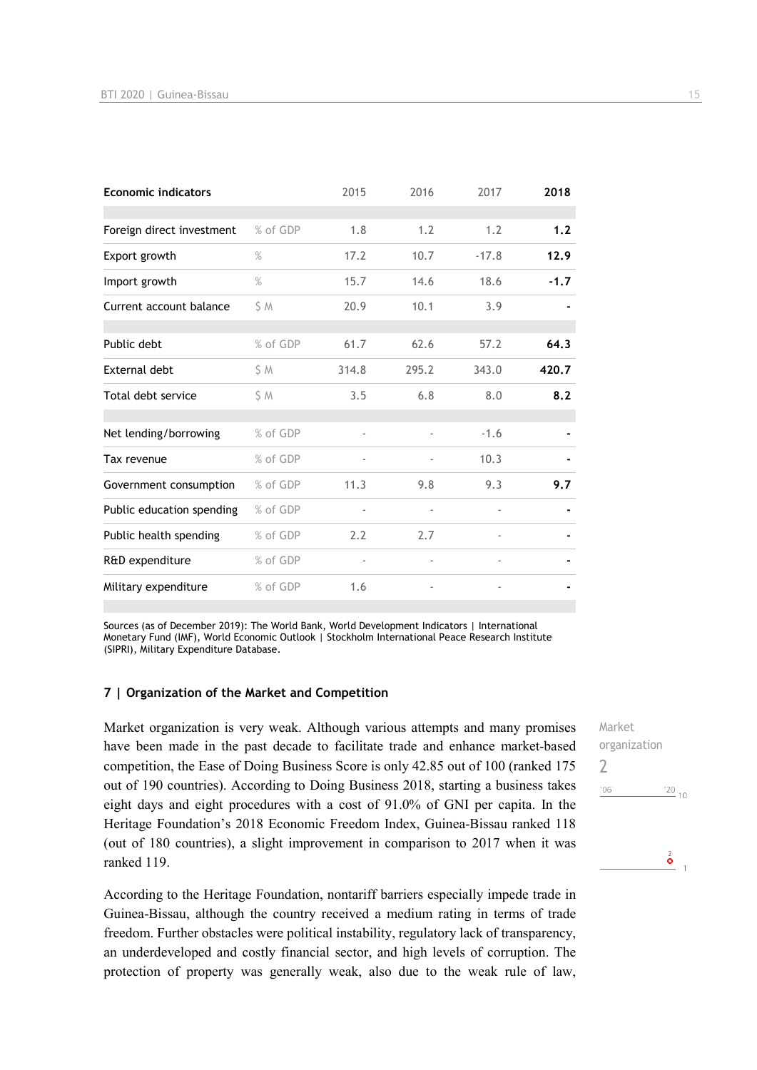| <b>Economic indicators</b> |          | 2015                     | 2016  | 2017                     | 2018   |
|----------------------------|----------|--------------------------|-------|--------------------------|--------|
| Foreign direct investment  | % of GDP | 1.8                      | 1.2   | 1.2                      | 1.2    |
| Export growth              | $\%$     | 17.2                     | 10.7  | $-17.8$                  | 12.9   |
| Import growth              | $\%$     | 15.7                     | 14.6  | 18.6                     | $-1.7$ |
| Current account balance    | \$ M     | 20.9                     | 10.1  | 3.9                      |        |
| Public debt                | % of GDP | 61.7                     | 62.6  | 57.2                     | 64.3   |
| <b>External debt</b>       | S M      | 314.8                    | 295.2 | 343.0                    | 420.7  |
| Total debt service         | S M      | 3.5                      | 6.8   | 8.0                      | 8.2    |
| Net lending/borrowing      | % of GDP |                          |       | $-1.6$                   |        |
| Tax revenue                | % of GDP |                          |       | 10.3                     |        |
| Government consumption     | % of GDP | 11.3                     | 9.8   | 9.3                      | 9.7    |
| Public education spending  | % of GDP |                          |       |                          |        |
| Public health spending     | % of GDP | 2.2                      | 2.7   |                          |        |
| R&D expenditure            | % of GDP | $\overline{\phantom{0}}$ |       | $\overline{\phantom{a}}$ |        |
| Military expenditure       | % of GDP | 1.6                      |       |                          |        |

Sources (as of December 2019): The World Bank, World Development Indicators | International Monetary Fund (IMF), World Economic Outlook | Stockholm International Peace Research Institute (SIPRI), Military Expenditure Database.

#### **7 | Organization of the Market and Competition**

Market organization is very weak. Although various attempts and many promises have been made in the past decade to facilitate trade and enhance market-based competition, the Ease of Doing Business Score is only 42.85 out of 100 (ranked 175 out of 190 countries). According to Doing Business 2018, starting a business takes eight days and eight procedures with a cost of 91.0% of GNI per capita. In the Heritage Foundation's 2018 Economic Freedom Index, Guinea-Bissau ranked 118 (out of 180 countries), a slight improvement in comparison to 2017 when it was ranked 119.

According to the Heritage Foundation, nontariff barriers especially impede trade in Guinea-Bissau, although the country received a medium rating in terms of trade freedom. Further obstacles were political instability, regulatory lack of transparency, an underdeveloped and costly financial sector, and high levels of corruption. The protection of property was generally weak, also due to the weak rule of law,

Market organization  $\overline{\phantom{0}}$  $'06$  $\frac{20}{10}$  $\frac{2}{\mathbf{O}}$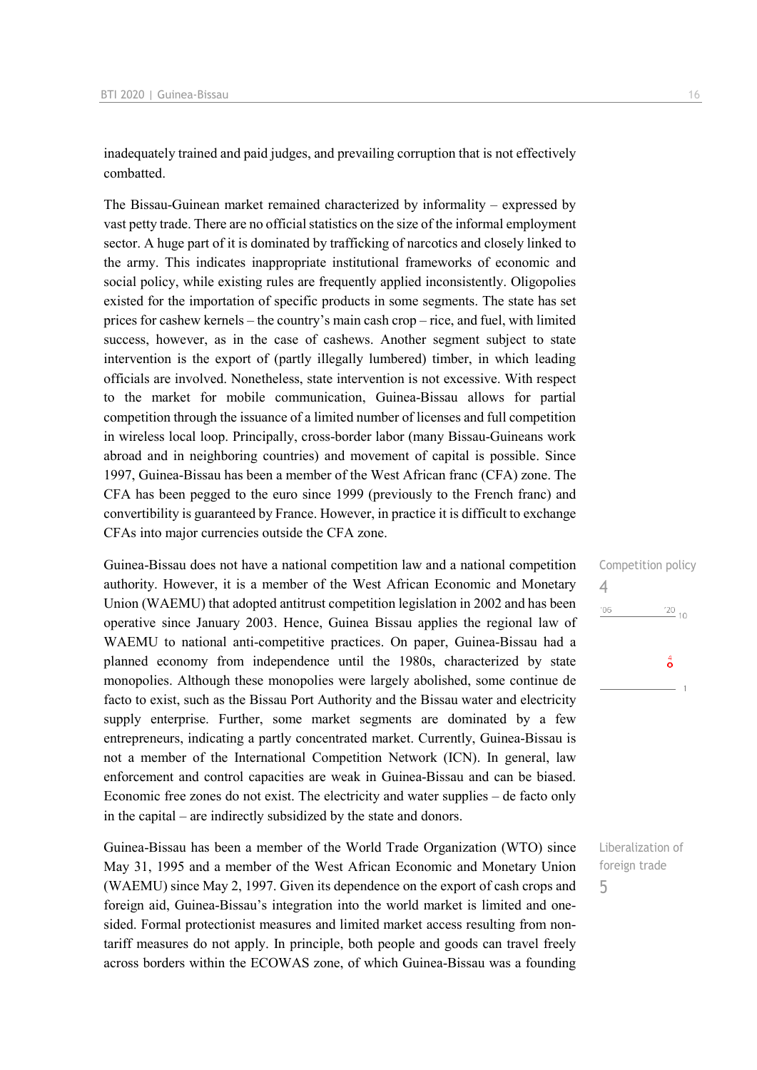inadequately trained and paid judges, and prevailing corruption that is not effectively combatted.

The Bissau-Guinean market remained characterized by informality – expressed by vast petty trade. There are no official statistics on the size of the informal employment sector. A huge part of it is dominated by trafficking of narcotics and closely linked to the army. This indicates inappropriate institutional frameworks of economic and social policy, while existing rules are frequently applied inconsistently. Oligopolies existed for the importation of specific products in some segments. The state has set prices for cashew kernels – the country's main cash crop – rice, and fuel, with limited success, however, as in the case of cashews. Another segment subject to state intervention is the export of (partly illegally lumbered) timber, in which leading officials are involved. Nonetheless, state intervention is not excessive. With respect to the market for mobile communication, Guinea-Bissau allows for partial competition through the issuance of a limited number of licenses and full competition in wireless local loop. Principally, cross-border labor (many Bissau-Guineans work abroad and in neighboring countries) and movement of capital is possible. Since 1997, Guinea-Bissau has been a member of the West African franc (CFA) zone. The CFA has been pegged to the euro since 1999 (previously to the French franc) and convertibility is guaranteed by France. However, in practice it is difficult to exchange CFAs into major currencies outside the CFA zone.

Guinea-Bissau does not have a national competition law and a national competition authority. However, it is a member of the West African Economic and Monetary Union (WAEMU) that adopted antitrust competition legislation in 2002 and has been operative since January 2003. Hence, Guinea Bissau applies the regional law of WAEMU to national anti-competitive practices. On paper, Guinea-Bissau had a planned economy from independence until the 1980s, characterized by state monopolies. Although these monopolies were largely abolished, some continue de facto to exist, such as the Bissau Port Authority and the Bissau water and electricity supply enterprise. Further, some market segments are dominated by a few entrepreneurs, indicating a partly concentrated market. Currently, Guinea-Bissau is not a member of the International Competition Network (ICN). In general, law enforcement and control capacities are weak in Guinea-Bissau and can be biased. Economic free zones do not exist. The electricity and water supplies – de facto only in the capital – are indirectly subsidized by the state and donors.

Guinea-Bissau has been a member of the World Trade Organization (WTO) since May 31, 1995 and a member of the West African Economic and Monetary Union (WAEMU) since May 2, 1997. Given its dependence on the export of cash crops and foreign aid, Guinea-Bissau's integration into the world market is limited and onesided. Formal protectionist measures and limited market access resulting from nontariff measures do not apply. In principle, both people and goods can travel freely across borders within the ECOWAS zone, of which Guinea-Bissau was a founding Competition policy 4  $\frac{20}{10}$  10  $-06$  $\sigma$ 

Liberalization of foreign trade 5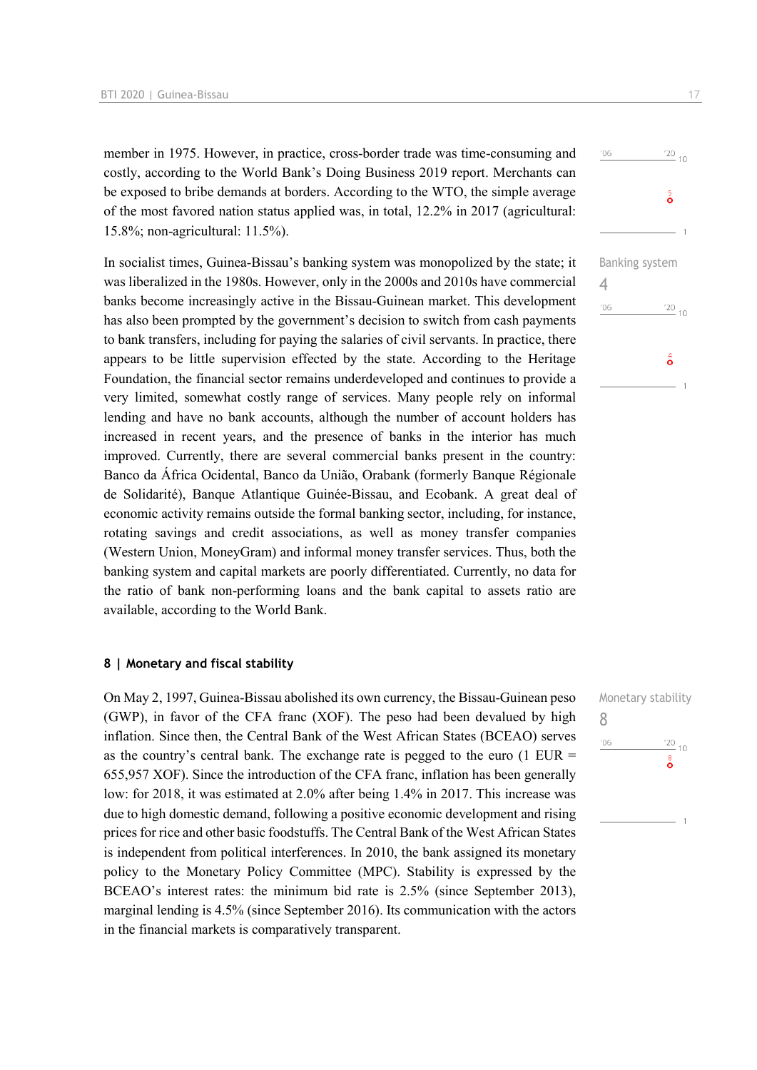member in 1975. However, in practice, cross-border trade was time-consuming and costly, according to the World Bank's Doing Business 2019 report. Merchants can be exposed to bribe demands at borders. According to the WTO, the simple average of the most favored nation status applied was, in total, 12.2% in 2017 (agricultural: 15.8%; non-agricultural: 11.5%).

In socialist times, Guinea-Bissau's banking system was monopolized by the state; it was liberalized in the 1980s. However, only in the 2000s and 2010s have commercial banks become increasingly active in the Bissau-Guinean market. This development has also been prompted by the government's decision to switch from cash payments to bank transfers, including for paying the salaries of civil servants. In practice, there appears to be little supervision effected by the state. According to the Heritage Foundation, the financial sector remains underdeveloped and continues to provide a very limited, somewhat costly range of services. Many people rely on informal lending and have no bank accounts, although the number of account holders has increased in recent years, and the presence of banks in the interior has much improved. Currently, there are several commercial banks present in the country: Banco da África Ocidental, Banco da União, Orabank (formerly Banque Régionale de Solidarité), Banque Atlantique Guinée-Bissau, and Ecobank. A great deal of economic activity remains outside the formal banking sector, including, for instance, rotating savings and credit associations, as well as money transfer companies (Western Union, MoneyGram) and informal money transfer services. Thus, both the banking system and capital markets are poorly differentiated. Currently, no data for the ratio of bank non-performing loans and the bank capital to assets ratio are available, according to the World Bank.

#### **8 | Monetary and fiscal stability**

On May 2, 1997, Guinea-Bissau abolished its own currency, the Bissau-Guinean peso (GWP), in favor of the CFA franc (XOF). The peso had been devalued by high inflation. Since then, the Central Bank of the West African States (BCEAO) serves as the country's central bank. The exchange rate is pegged to the euro (1 EUR  $=$ 655,957 XOF). Since the introduction of the CFA franc, inflation has been generally low: for 2018, it was estimated at 2.0% after being 1.4% in 2017. This increase was due to high domestic demand, following a positive economic development and rising prices for rice and other basic foodstuffs. The Central Bank of the West African States is independent from political interferences. In 2010, the bank assigned its monetary policy to the Monetary Policy Committee (MPC). Stability is expressed by the BCEAO's interest rates: the minimum bid rate is 2.5% (since September 2013), marginal lending is 4.5% (since September 2016). Its communication with the actors in the financial markets is comparatively transparent.



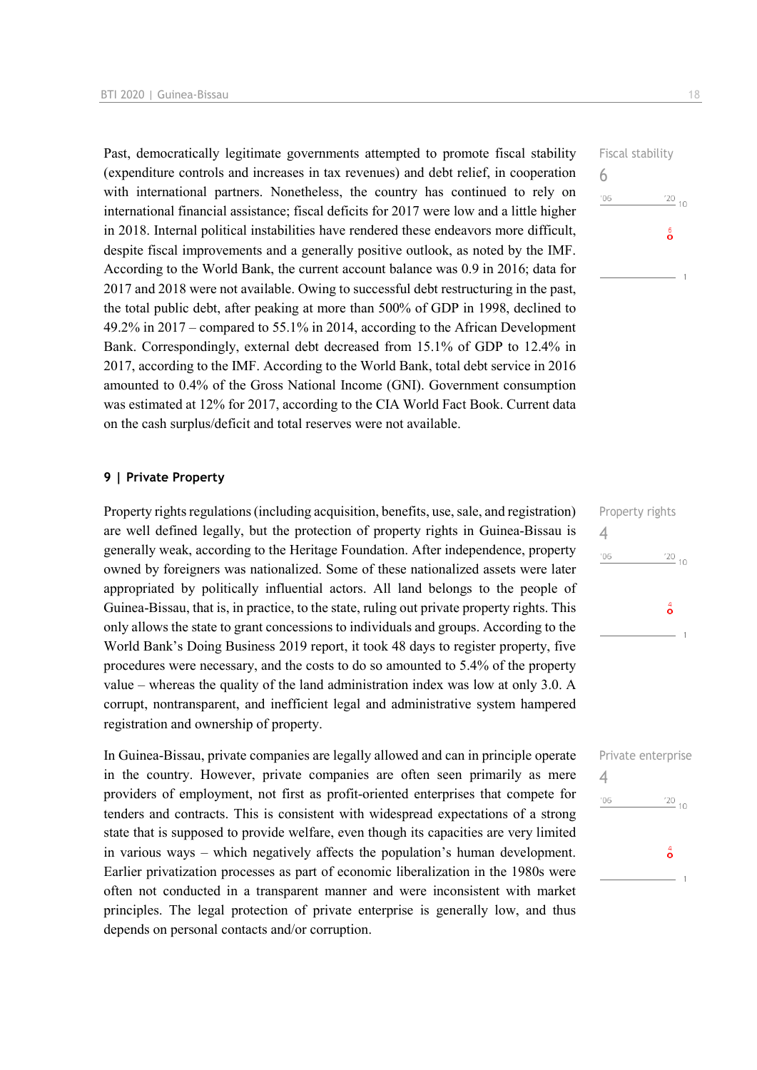Past, democratically legitimate governments attempted to promote fiscal stability (expenditure controls and increases in tax revenues) and debt relief, in cooperation with international partners. Nonetheless, the country has continued to rely on international financial assistance; fiscal deficits for 2017 were low and a little higher in 2018. Internal political instabilities have rendered these endeavors more difficult, despite fiscal improvements and a generally positive outlook, as noted by the IMF. According to the World Bank, the current account balance was 0.9 in 2016; data for 2017 and 2018 were not available. Owing to successful debt restructuring in the past, the total public debt, after peaking at more than 500% of GDP in 1998, declined to 49.2% in 2017 – compared to 55.1% in 2014, according to the African Development Bank. Correspondingly, external debt decreased from 15.1% of GDP to 12.4% in 2017, according to the IMF. According to the World Bank, total debt service in 2016 amounted to 0.4% of the Gross National Income (GNI). Government consumption was estimated at 12% for 2017, according to the CIA World Fact Book. Current data on the cash surplus/deficit and total reserves were not available.

#### **9 | Private Property**

Property rights regulations (including acquisition, benefits, use, sale, and registration) are well defined legally, but the protection of property rights in Guinea-Bissau is generally weak, according to the Heritage Foundation. After independence, property owned by foreigners was nationalized. Some of these nationalized assets were later appropriated by politically influential actors. All land belongs to the people of Guinea-Bissau, that is, in practice, to the state, ruling out private property rights. This only allows the state to grant concessions to individuals and groups. According to the World Bank's Doing Business 2019 report, it took 48 days to register property, five procedures were necessary, and the costs to do so amounted to 5.4% of the property value – whereas the quality of the land administration index was low at only 3.0. A corrupt, nontransparent, and inefficient legal and administrative system hampered registration and ownership of property.

In Guinea-Bissau, private companies are legally allowed and can in principle operate in the country. However, private companies are often seen primarily as mere providers of employment, not first as profit-oriented enterprises that compete for tenders and contracts. This is consistent with widespread expectations of a strong state that is supposed to provide welfare, even though its capacities are very limited in various ways – which negatively affects the population's human development. Earlier privatization processes as part of economic liberalization in the 1980s were often not conducted in a transparent manner and were inconsistent with market principles. The legal protection of private enterprise is generally low, and thus depends on personal contacts and/or corruption.



| Property rights |                    |  |
|-----------------|--------------------|--|
|                 |                    |  |
| '06             | $\frac{20}{10}$ 10 |  |
|                 |                    |  |
|                 | ő                  |  |
|                 |                    |  |
|                 |                    |  |

|     | Private enterprise  |
|-----|---------------------|
| '06 | $\frac{720}{10}$ 10 |
|     | ő                   |
|     | 1                   |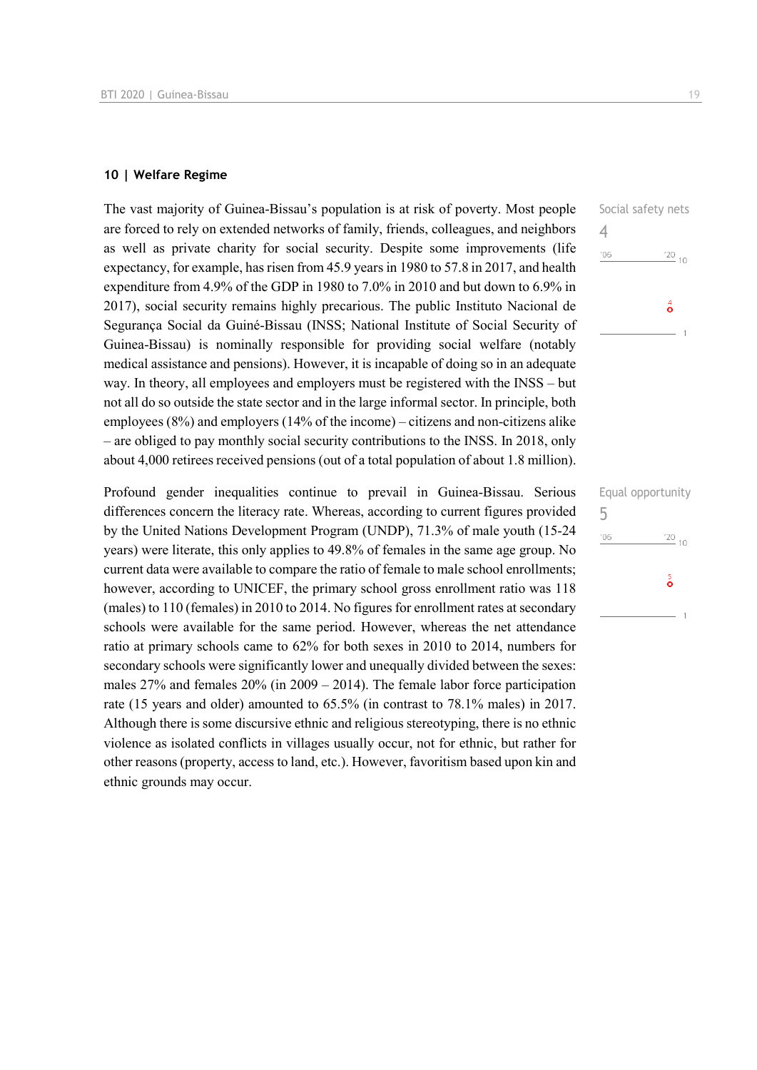#### **10 | Welfare Regime**

The vast majority of Guinea-Bissau's population is at risk of poverty. Most people are forced to rely on extended networks of family, friends, colleagues, and neighbors as well as private charity for social security. Despite some improvements (life expectancy, for example, has risen from 45.9 years in 1980 to 57.8 in 2017, and health expenditure from 4.9% of the GDP in 1980 to 7.0% in 2010 and but down to 6.9% in 2017), social security remains highly precarious. The public Instituto Nacional de Segurança Social da Guiné-Bissau (INSS; National Institute of Social Security of Guinea-Bissau) is nominally responsible for providing social welfare (notably medical assistance and pensions). However, it is incapable of doing so in an adequate way. In theory, all employees and employers must be registered with the INSS – but not all do so outside the state sector and in the large informal sector. In principle, both employees (8%) and employers (14% of the income) – citizens and non-citizens alike – are obliged to pay monthly social security contributions to the INSS. In 2018, only about 4,000 retirees received pensions (out of a total population of about 1.8 million).

Profound gender inequalities continue to prevail in Guinea-Bissau. Serious differences concern the literacy rate. Whereas, according to current figures provided by the United Nations Development Program (UNDP), 71.3% of male youth (15-24 years) were literate, this only applies to 49.8% of females in the same age group. No current data were available to compare the ratio of female to male school enrollments; however, according to UNICEF, the primary school gross enrollment ratio was 118 (males) to 110 (females) in 2010 to 2014. No figures for enrollment rates at secondary schools were available for the same period. However, whereas the net attendance ratio at primary schools came to 62% for both sexes in 2010 to 2014, numbers for secondary schools were significantly lower and unequally divided between the sexes: males 27% and females 20% (in 2009 – 2014). The female labor force participation rate (15 years and older) amounted to 65.5% (in contrast to 78.1% males) in 2017. Although there is some discursive ethnic and religious stereotyping, there is no ethnic violence as isolated conflicts in villages usually occur, not for ethnic, but rather for other reasons (property, access to land, etc.). However, favoritism based upon kin and ethnic grounds may occur.

|     | Equal opportunity |
|-----|-------------------|
| 5   |                   |
| '06 | $\frac{20}{10}$   |
|     | $\frac{5}{9}$     |
|     |                   |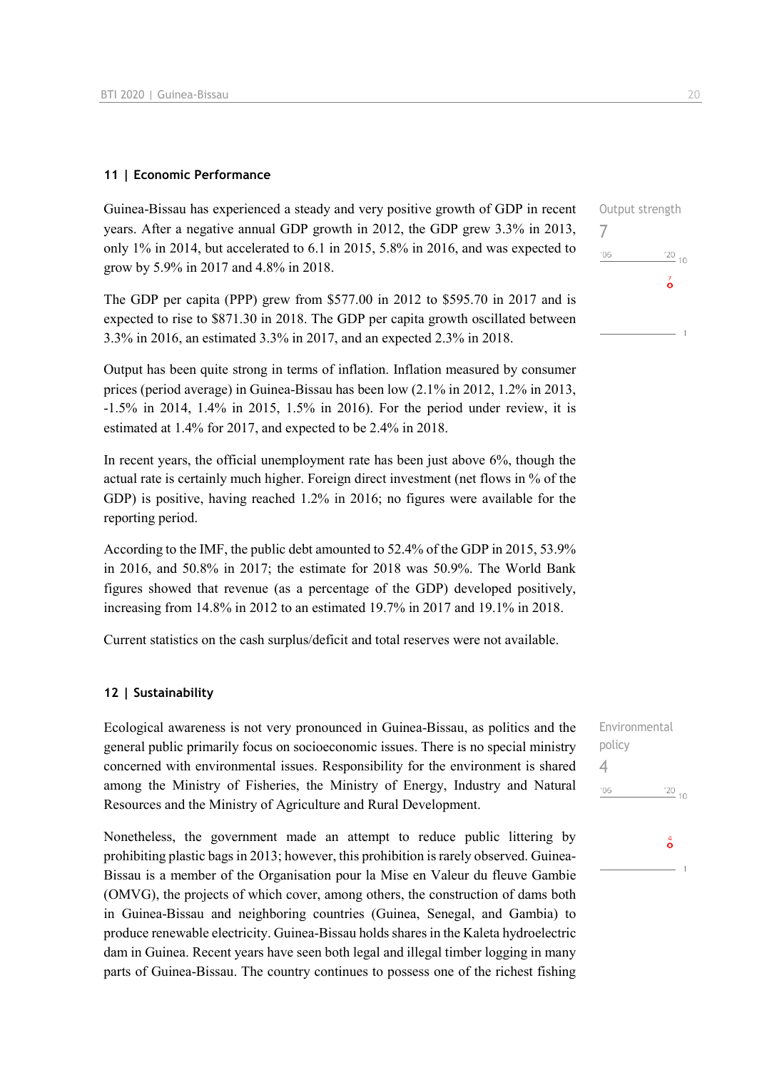#### **11 | Economic Performance**

Guinea-Bissau has experienced a steady and very positive growth of GDP in recent years. After a negative annual GDP growth in 2012, the GDP grew 3.3% in 2013, only 1% in 2014, but accelerated to 6.1 in 2015, 5.8% in 2016, and was expected to grow by 5.9% in 2017 and 4.8% in 2018.

The GDP per capita (PPP) grew from \$577.00 in 2012 to \$595.70 in 2017 and is expected to rise to \$871.30 in 2018. The GDP per capita growth oscillated between 3.3% in 2016, an estimated 3.3% in 2017, and an expected 2.3% in 2018.

Output has been quite strong in terms of inflation. Inflation measured by consumer prices (period average) in Guinea-Bissau has been low (2.1% in 2012, 1.2% in 2013, -1.5% in 2014, 1.4% in 2015, 1.5% in 2016). For the period under review, it is estimated at 1.4% for 2017, and expected to be 2.4% in 2018.

In recent years, the official unemployment rate has been just above 6%, though the actual rate is certainly much higher. Foreign direct investment (net flows in % of the GDP) is positive, having reached 1.2% in 2016; no figures were available for the reporting period.

According to the IMF, the public debt amounted to 52.4% of the GDP in 2015, 53.9% in 2016, and 50.8% in 2017; the estimate for 2018 was 50.9%. The World Bank figures showed that revenue (as a percentage of the GDP) developed positively, increasing from 14.8% in 2012 to an estimated 19.7% in 2017 and 19.1% in 2018.

Current statistics on the cash surplus/deficit and total reserves were not available.

#### **12 | Sustainability**

Ecological awareness is not very pronounced in Guinea-Bissau, as politics and the general public primarily focus on socioeconomic issues. There is no special ministry concerned with environmental issues. Responsibility for the environment is shared among the Ministry of Fisheries, the Ministry of Energy, Industry and Natural Resources and the Ministry of Agriculture and Rural Development.

Nonetheless, the government made an attempt to reduce public littering by prohibiting plastic bags in 2013; however, this prohibition is rarely observed. Guinea-Bissau is a member of the Organisation pour la Mise en Valeur du fleuve Gambie (OMVG), the projects of which cover, among others, the construction of dams both in Guinea-Bissau and neighboring countries (Guinea, Senegal, and Gambia) to produce renewable electricity. Guinea-Bissau holds shares in the Kaleta hydroelectric dam in Guinea. Recent years have seen both legal and illegal timber logging in many parts of Guinea-Bissau. The country continues to possess one of the richest fishing  $\frac{20}{10}$  $\overline{6}$ 

Output strength

7

 $'06$ 

Environmental policy 4 $'06$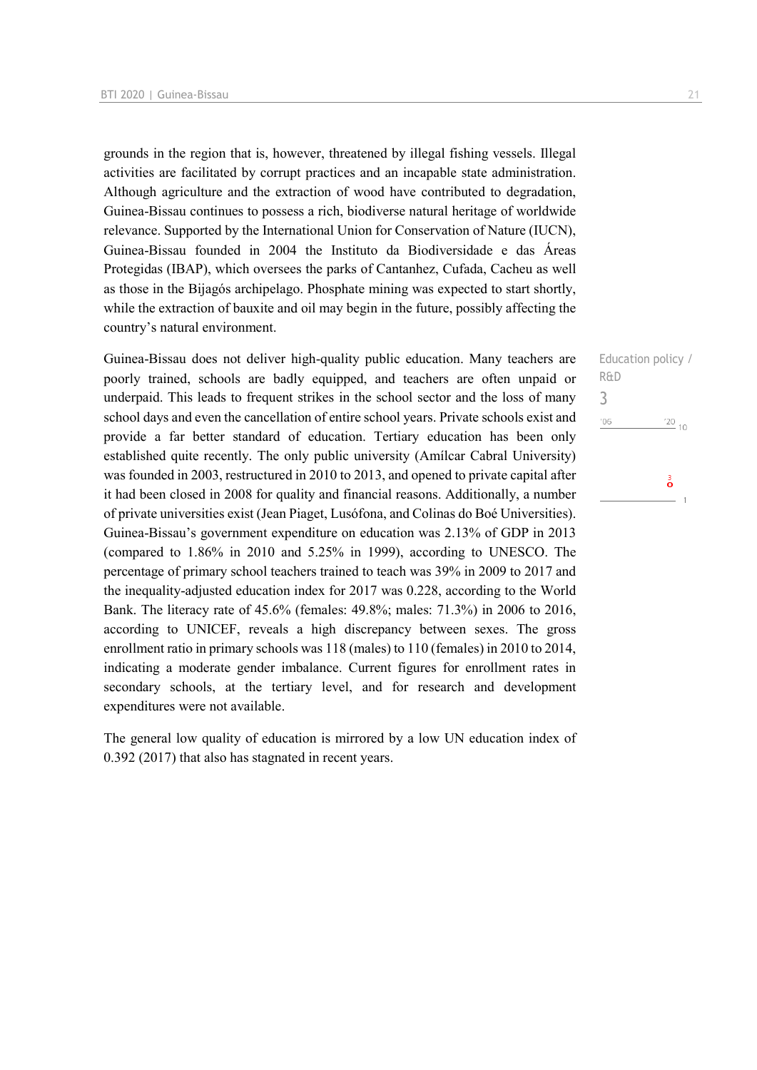grounds in the region that is, however, threatened by illegal fishing vessels. Illegal activities are facilitated by corrupt practices and an incapable state administration. Although agriculture and the extraction of wood have contributed to degradation, Guinea-Bissau continues to possess a rich, biodiverse natural heritage of worldwide relevance. Supported by the International Union for Conservation of Nature (IUCN), Guinea-Bissau founded in 2004 the Instituto da Biodiversidade e das Áreas Protegidas (IBAP), which oversees the parks of Cantanhez, Cufada, Cacheu as well as those in the Bijagós archipelago. Phosphate mining was expected to start shortly, while the extraction of bauxite and oil may begin in the future, possibly affecting the country's natural environment.

Guinea-Bissau does not deliver high-quality public education. Many teachers are poorly trained, schools are badly equipped, and teachers are often unpaid or underpaid. This leads to frequent strikes in the school sector and the loss of many school days and even the cancellation of entire school years. Private schools exist and provide a far better standard of education. Tertiary education has been only established quite recently. The only public university (Amílcar Cabral University) was founded in 2003, restructured in 2010 to 2013, and opened to private capital after it had been closed in 2008 for quality and financial reasons. Additionally, a number of private universities exist (Jean Piaget, Lusófona, and Colinas do Boé Universities). Guinea-Bissau's government expenditure on education was 2.13% of GDP in 2013 (compared to 1.86% in 2010 and 5.25% in 1999), according to UNESCO. The percentage of primary school teachers trained to teach was 39% in 2009 to 2017 and the inequality-adjusted education index for 2017 was 0.228, according to the World Bank. The literacy rate of 45.6% (females: 49.8%; males: 71.3%) in 2006 to 2016, according to UNICEF, reveals a high discrepancy between sexes. The gross enrollment ratio in primary schools was 118 (males) to 110 (females) in 2010 to 2014, indicating a moderate gender imbalance. Current figures for enrollment rates in secondary schools, at the tertiary level, and for research and development expenditures were not available.

The general low quality of education is mirrored by a low UN education index of 0.392 (2017) that also has stagnated in recent years.

Education policy / R&D 3 $\frac{20}{10}$  $'06$  $\frac{3}{\mathbf{O}}$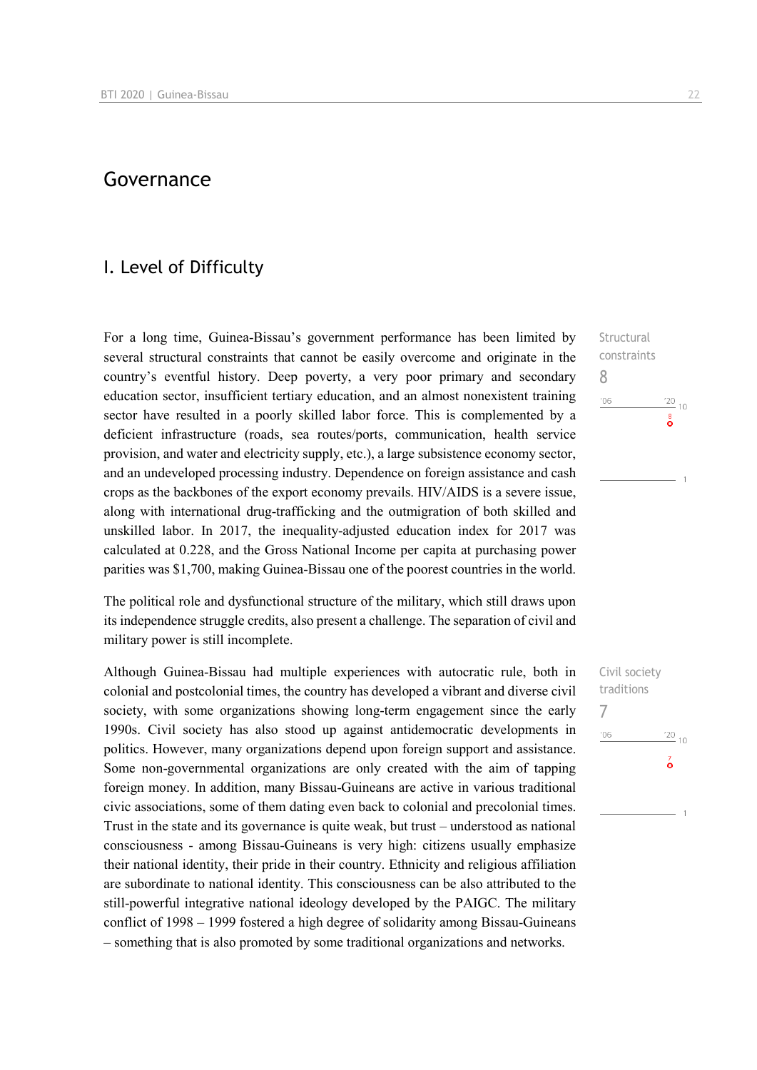### Governance

### I. Level of Difficulty

For a long time, Guinea-Bissau's government performance has been limited by several structural constraints that cannot be easily overcome and originate in the country's eventful history. Deep poverty, a very poor primary and secondary education sector, insufficient tertiary education, and an almost nonexistent training sector have resulted in a poorly skilled labor force. This is complemented by a deficient infrastructure (roads, sea routes/ports, communication, health service provision, and water and electricity supply, etc.), a large subsistence economy sector, and an undeveloped processing industry. Dependence on foreign assistance and cash crops as the backbones of the export economy prevails. HIV/AIDS is a severe issue, along with international drug-trafficking and the outmigration of both skilled and unskilled labor. In 2017, the inequality-adjusted education index for 2017 was calculated at 0.228, and the Gross National Income per capita at purchasing power parities was \$1,700, making Guinea-Bissau one of the poorest countries in the world.

The political role and dysfunctional structure of the military, which still draws upon its independence struggle credits, also present a challenge. The separation of civil and military power is still incomplete.

Although Guinea-Bissau had multiple experiences with autocratic rule, both in colonial and postcolonial times, the country has developed a vibrant and diverse civil society, with some organizations showing long-term engagement since the early 1990s. Civil society has also stood up against antidemocratic developments in politics. However, many organizations depend upon foreign support and assistance. Some non-governmental organizations are only created with the aim of tapping foreign money. In addition, many Bissau-Guineans are active in various traditional civic associations, some of them dating even back to colonial and precolonial times. Trust in the state and its governance is quite weak, but trust – understood as national consciousness - among Bissau-Guineans is very high: citizens usually emphasize their national identity, their pride in their country. Ethnicity and religious affiliation are subordinate to national identity. This consciousness can be also attributed to the still-powerful integrative national ideology developed by the PAIGC. The military conflict of 1998 – 1999 fostered a high degree of solidarity among Bissau-Guineans – something that is also promoted by some traditional organizations and networks.

Structural constraints 8  $\frac{20}{10}$  10  $106$ 

Civil society traditions 7 $\frac{20}{10}$  $106$  $\overline{6}$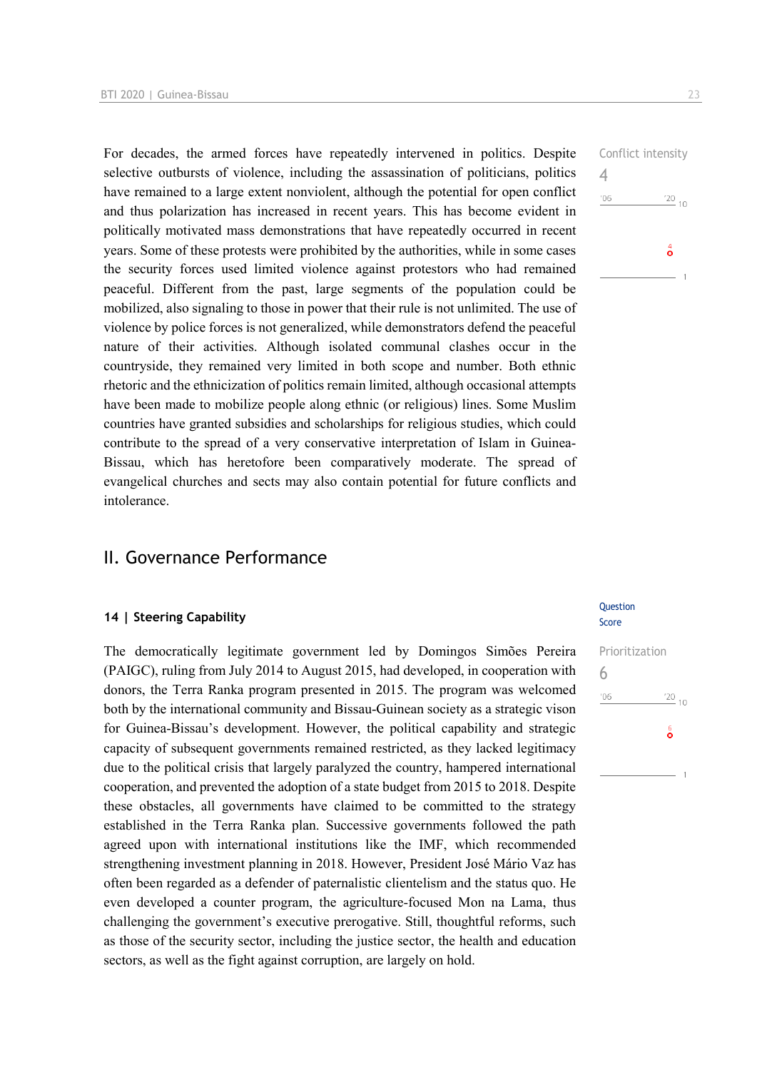For decades, the armed forces have repeatedly intervened in politics. Despite selective outbursts of violence, including the assassination of politicians, politics have remained to a large extent nonviolent, although the potential for open conflict and thus polarization has increased in recent years. This has become evident in politically motivated mass demonstrations that have repeatedly occurred in recent years. Some of these protests were prohibited by the authorities, while in some cases the security forces used limited violence against protestors who had remained peaceful. Different from the past, large segments of the population could be mobilized, also signaling to those in power that their rule is not unlimited. The use of violence by police forces is not generalized, while demonstrators defend the peaceful nature of their activities. Although isolated communal clashes occur in the countryside, they remained very limited in both scope and number. Both ethnic rhetoric and the ethnicization of politics remain limited, although occasional attempts have been made to mobilize people along ethnic (or religious) lines. Some Muslim countries have granted subsidies and scholarships for religious studies, which could contribute to the spread of a very conservative interpretation of Islam in Guinea-Bissau, which has heretofore been comparatively moderate. The spread of evangelical churches and sects may also contain potential for future conflicts and intolerance.

### II. Governance Performance

#### **14 | Steering Capability**

The democratically legitimate government led by Domingos Simões Pereira (PAIGC), ruling from July 2014 to August 2015, had developed, in cooperation with donors, the Terra Ranka program presented in 2015. The program was welcomed both by the international community and Bissau-Guinean society as a strategic vison for Guinea-Bissau's development. However, the political capability and strategic capacity of subsequent governments remained restricted, as they lacked legitimacy due to the political crisis that largely paralyzed the country, hampered international cooperation, and prevented the adoption of a state budget from 2015 to 2018. Despite these obstacles, all governments have claimed to be committed to the strategy established in the Terra Ranka plan. Successive governments followed the path agreed upon with international institutions like the IMF, which recommended strengthening investment planning in 2018. However, President José Mário Vaz has often been regarded as a defender of paternalistic clientelism and the status quo. He even developed a counter program, the agriculture-focused Mon na Lama, thus challenging the government's executive prerogative. Still, thoughtful reforms, such as those of the security sector, including the justice sector, the health and education sectors, as well as the fight against corruption, are largely on hold.

# Conflict intensity 4  $\frac{20}{10}$  $106$  $\overset{4}{\circ}$

#### **Ouestion** Score

Prioritization 6 $\frac{20}{10}$  $'06$  $\frac{6}{9}$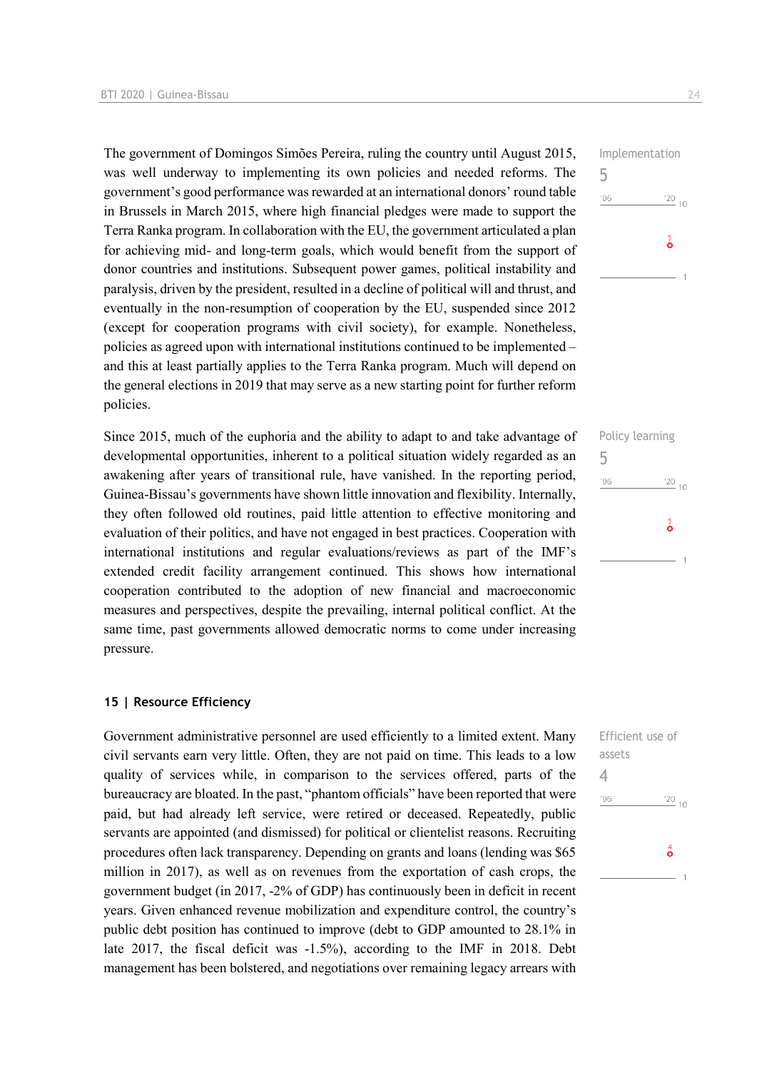The government of Domingos Simões Pereira, ruling the country until August 2015, was well underway to implementing its own policies and needed reforms. The government's good performance was rewarded at an international donors' round table in Brussels in March 2015, where high financial pledges were made to support the Terra Ranka program. In collaboration with the EU, the government articulated a plan for achieving mid- and long-term goals, which would benefit from the support of donor countries and institutions. Subsequent power games, political instability and paralysis, driven by the president, resulted in a decline of political will and thrust, and eventually in the non-resumption of cooperation by the EU, suspended since 2012 (except for cooperation programs with civil society), for example. Nonetheless, policies as agreed upon with international institutions continued to be implemented – and this at least partially applies to the Terra Ranka program. Much will depend on the general elections in 2019 that may serve as a new starting point for further reform policies.

Since 2015, much of the euphoria and the ability to adapt to and take advantage of developmental opportunities, inherent to a political situation widely regarded as an awakening after years of transitional rule, have vanished. In the reporting period, Guinea-Bissau's governments have shown little innovation and flexibility. Internally, they often followed old routines, paid little attention to effective monitoring and evaluation of their politics, and have not engaged in best practices. Cooperation with international institutions and regular evaluations/reviews as part of the IMF's extended credit facility arrangement continued. This shows how international cooperation contributed to the adoption of new financial and macroeconomic measures and perspectives, despite the prevailing, internal political conflict. At the same time, past governments allowed democratic norms to come under increasing pressure.

#### **15 | Resource Efficiency**

Government administrative personnel are used efficiently to a limited extent. Many civil servants earn very little. Often, they are not paid on time. This leads to a low quality of services while, in comparison to the services offered, parts of the bureaucracy are bloated. In the past, "phantom officials" have been reported that were paid, but had already left service, were retired or deceased. Repeatedly, public servants are appointed (and dismissed) for political or clientelist reasons. Recruiting procedures often lack transparency. Depending on grants and loans (lending was \$65 million in 2017), as well as on revenues from the exportation of cash crops, the government budget (in 2017, -2% of GDP) has continuously been in deficit in recent years. Given enhanced revenue mobilization and expenditure control, the country's public debt position has continued to improve (debt to GDP amounted to 28.1% in late 2017, the fiscal deficit was -1.5%), according to the IMF in 2018. Debt management has been bolstered, and negotiations over remaining legacy arrears with

|     | Policy learning |    |
|-----|-----------------|----|
| 5   |                 |    |
| '06 | '20             | 10 |
|     | $\frac{5}{9}$   |    |
|     |                 |    |
|     |                 |    |

| $\frac{20}{10}$ 10 |
|--------------------|
|                    |
| á                  |
|                    |
|                    |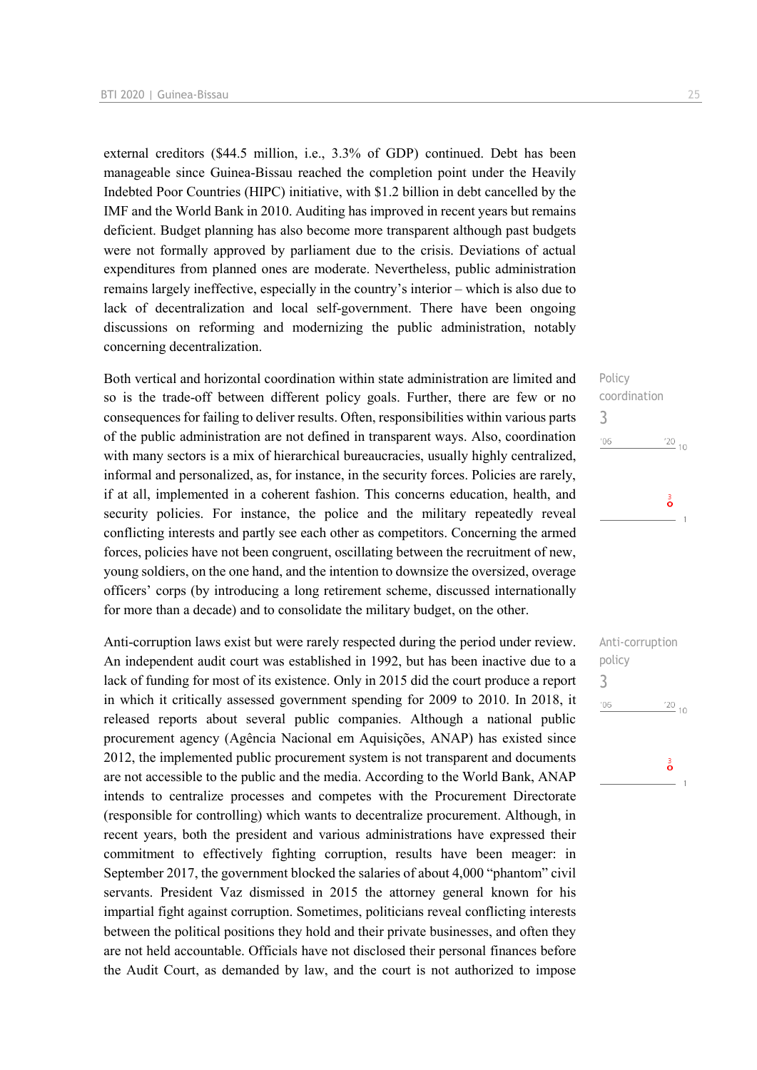external creditors (\$44.5 million, i.e., 3.3% of GDP) continued. Debt has been manageable since Guinea-Bissau reached the completion point under the Heavily Indebted Poor Countries (HIPC) initiative, with \$1.2 billion in debt cancelled by the IMF and the World Bank in 2010. Auditing has improved in recent years but remains deficient. Budget planning has also become more transparent although past budgets were not formally approved by parliament due to the crisis. Deviations of actual expenditures from planned ones are moderate. Nevertheless, public administration remains largely ineffective, especially in the country's interior – which is also due to lack of decentralization and local self-government. There have been ongoing discussions on reforming and modernizing the public administration, notably concerning decentralization.

Both vertical and horizontal coordination within state administration are limited and so is the trade-off between different policy goals. Further, there are few or no consequences for failing to deliver results. Often, responsibilities within various parts of the public administration are not defined in transparent ways. Also, coordination with many sectors is a mix of hierarchical bureaucracies, usually highly centralized, informal and personalized, as, for instance, in the security forces. Policies are rarely, if at all, implemented in a coherent fashion. This concerns education, health, and security policies. For instance, the police and the military repeatedly reveal conflicting interests and partly see each other as competitors. Concerning the armed forces, policies have not been congruent, oscillating between the recruitment of new, young soldiers, on the one hand, and the intention to downsize the oversized, overage officers' corps (by introducing a long retirement scheme, discussed internationally for more than a decade) and to consolidate the military budget, on the other.

Anti-corruption laws exist but were rarely respected during the period under review. An independent audit court was established in 1992, but has been inactive due to a lack of funding for most of its existence. Only in 2015 did the court produce a report in which it critically assessed government spending for 2009 to 2010. In 2018, it released reports about several public companies. Although a national public procurement agency (Agência Nacional em Aquisições, ANAP) has existed since 2012, the implemented public procurement system is not transparent and documents are not accessible to the public and the media. According to the World Bank, ANAP intends to centralize processes and competes with the Procurement Directorate (responsible for controlling) which wants to decentralize procurement. Although, in recent years, both the president and various administrations have expressed their commitment to effectively fighting corruption, results have been meager: in September 2017, the government blocked the salaries of about 4,000 "phantom" civil servants. President Vaz dismissed in 2015 the attorney general known for his impartial fight against corruption. Sometimes, politicians reveal conflicting interests between the political positions they hold and their private businesses, and often they are not held accountable. Officials have not disclosed their personal finances before the Audit Court, as demanded by law, and the court is not authorized to impose

Policy coordination 3  $06'$  $\frac{20}{10}$ å

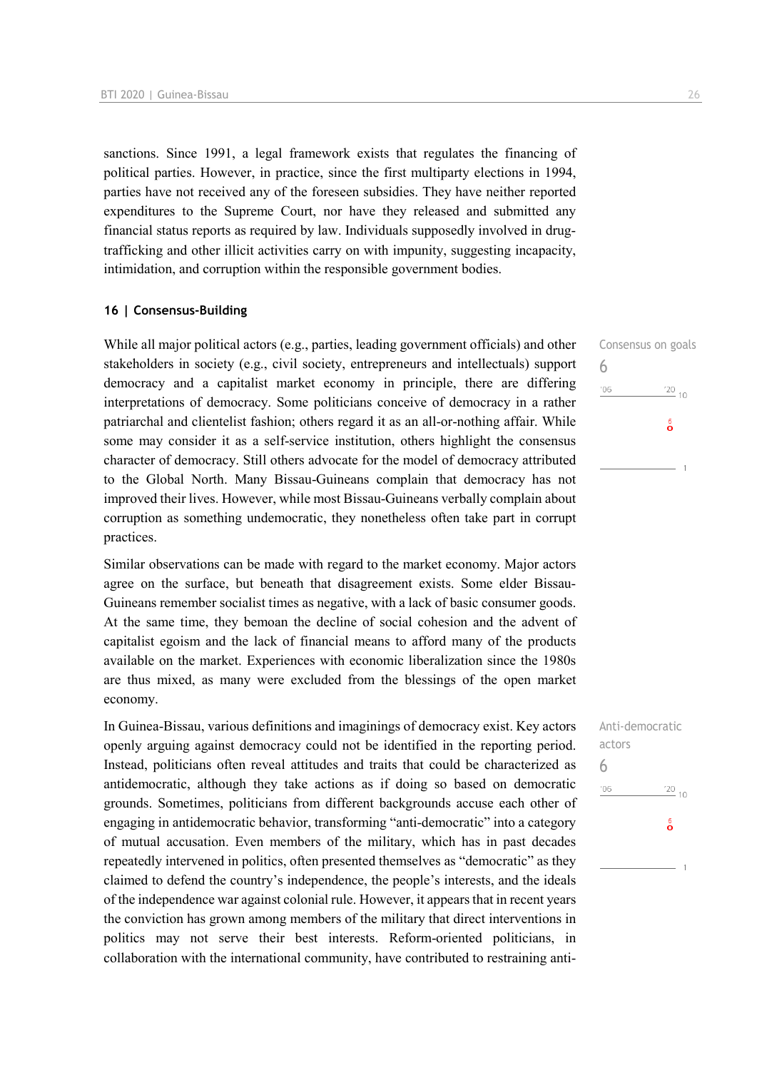sanctions. Since 1991, a legal framework exists that regulates the financing of political parties. However, in practice, since the first multiparty elections in 1994, parties have not received any of the foreseen subsidies. They have neither reported expenditures to the Supreme Court, nor have they released and submitted any financial status reports as required by law. Individuals supposedly involved in drugtrafficking and other illicit activities carry on with impunity, suggesting incapacity, intimidation, and corruption within the responsible government bodies.

#### **16 | Consensus-Building**

While all major political actors (e.g., parties, leading government officials) and other stakeholders in society (e.g., civil society, entrepreneurs and intellectuals) support democracy and a capitalist market economy in principle, there are differing interpretations of democracy. Some politicians conceive of democracy in a rather patriarchal and clientelist fashion; others regard it as an all-or-nothing affair. While some may consider it as a self-service institution, others highlight the consensus character of democracy. Still others advocate for the model of democracy attributed to the Global North. Many Bissau-Guineans complain that democracy has not improved their lives. However, while most Bissau-Guineans verbally complain about corruption as something undemocratic, they nonetheless often take part in corrupt practices.

Similar observations can be made with regard to the market economy. Major actors agree on the surface, but beneath that disagreement exists. Some elder Bissau-Guineans remember socialist times as negative, with a lack of basic consumer goods. At the same time, they bemoan the decline of social cohesion and the advent of capitalist egoism and the lack of financial means to afford many of the products available on the market. Experiences with economic liberalization since the 1980s are thus mixed, as many were excluded from the blessings of the open market economy.

In Guinea-Bissau, various definitions and imaginings of democracy exist. Key actors openly arguing against democracy could not be identified in the reporting period. Instead, politicians often reveal attitudes and traits that could be characterized as antidemocratic, although they take actions as if doing so based on democratic grounds. Sometimes, politicians from different backgrounds accuse each other of engaging in antidemocratic behavior, transforming "anti-democratic" into a category of mutual accusation. Even members of the military, which has in past decades repeatedly intervened in politics, often presented themselves as "democratic" as they claimed to defend the country's independence, the people's interests, and the ideals of the independence war against colonial rule. However, it appears that in recent years the conviction has grown among members of the military that direct interventions in politics may not serve their best interests. Reform-oriented politicians, in collaboration with the international community, have contributed to restraining anti-

 $'20_{10}$ 

 $\frac{6}{9}$ 

Consensus on goals

6

 $106$ 

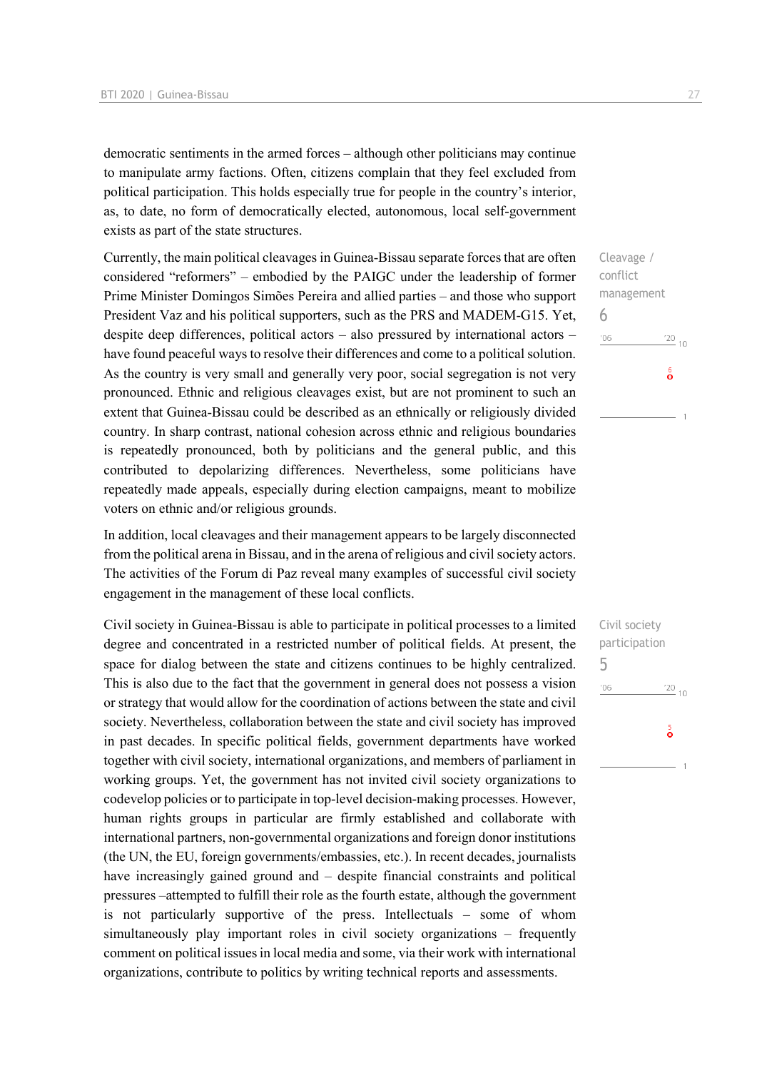democratic sentiments in the armed forces – although other politicians may continue to manipulate army factions. Often, citizens complain that they feel excluded from political participation. This holds especially true for people in the country's interior, as, to date, no form of democratically elected, autonomous, local self-government exists as part of the state structures.

Currently, the main political cleavages in Guinea-Bissau separate forces that are often considered "reformers" – embodied by the PAIGC under the leadership of former Prime Minister Domingos Simões Pereira and allied parties – and those who support President Vaz and his political supporters, such as the PRS and MADEM-G15. Yet, despite deep differences, political actors – also pressured by international actors – have found peaceful ways to resolve their differences and come to a political solution. As the country is very small and generally very poor, social segregation is not very pronounced. Ethnic and religious cleavages exist, but are not prominent to such an extent that Guinea-Bissau could be described as an ethnically or religiously divided country. In sharp contrast, national cohesion across ethnic and religious boundaries is repeatedly pronounced, both by politicians and the general public, and this contributed to depolarizing differences. Nevertheless, some politicians have repeatedly made appeals, especially during election campaigns, meant to mobilize voters on ethnic and/or religious grounds.

In addition, local cleavages and their management appears to be largely disconnected from the political arena in Bissau, and in the arena of religious and civil society actors. The activities of the Forum di Paz reveal many examples of successful civil society engagement in the management of these local conflicts.

Civil society in Guinea-Bissau is able to participate in political processes to a limited degree and concentrated in a restricted number of political fields. At present, the space for dialog between the state and citizens continues to be highly centralized. This is also due to the fact that the government in general does not possess a vision or strategy that would allow for the coordination of actions between the state and civil society. Nevertheless, collaboration between the state and civil society has improved in past decades. In specific political fields, government departments have worked together with civil society, international organizations, and members of parliament in working groups. Yet, the government has not invited civil society organizations to codevelop policies or to participate in top-level decision-making processes. However, human rights groups in particular are firmly established and collaborate with international partners, non-governmental organizations and foreign donor institutions (the UN, the EU, foreign governments/embassies, etc.). In recent decades, journalists have increasingly gained ground and – despite financial constraints and political pressures –attempted to fulfill their role as the fourth estate, although the government is not particularly supportive of the press. Intellectuals – some of whom simultaneously play important roles in civil society organizations – frequently comment on political issues in local media and some, via their work with international organizations, contribute to politics by writing technical reports and assessments.

Cleavage / conflict management 6  $106$  $\frac{20}{10}$  $\delta$ 

Civil society participation 5 $106$  $\frac{20}{10}$  $\frac{5}{9}$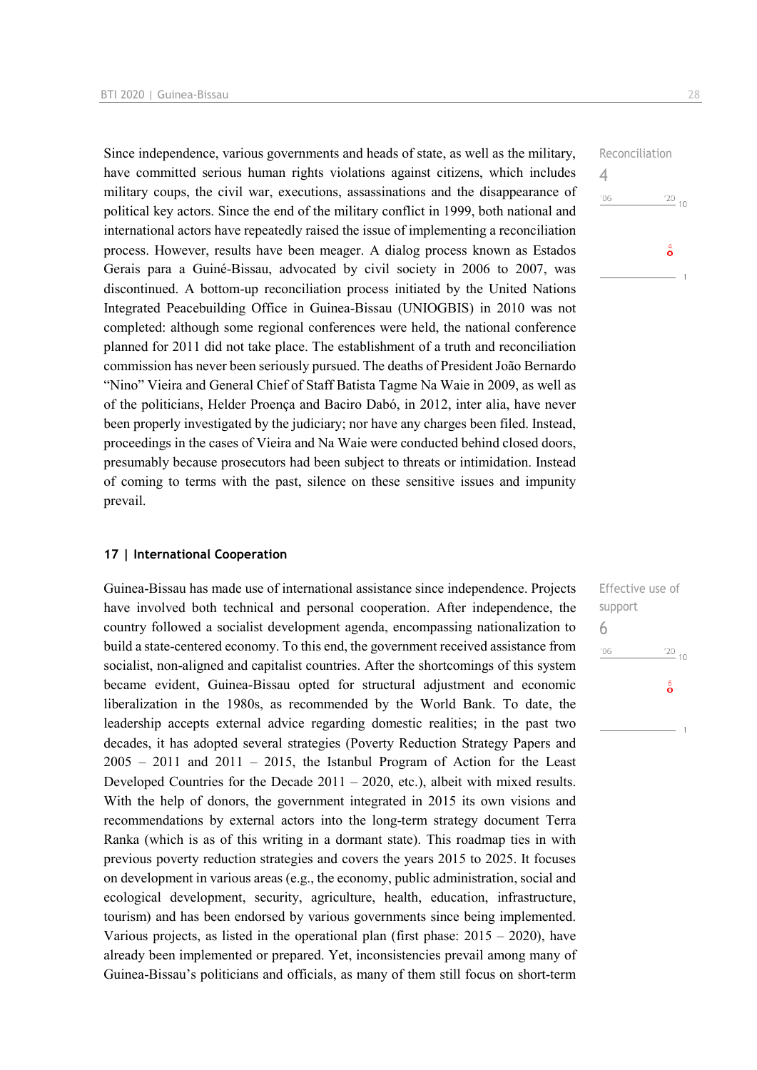Since independence, various governments and heads of state, as well as the military, have committed serious human rights violations against citizens, which includes military coups, the civil war, executions, assassinations and the disappearance of political key actors. Since the end of the military conflict in 1999, both national and international actors have repeatedly raised the issue of implementing a reconciliation process. However, results have been meager. A dialog process known as Estados Gerais para a Guiné-Bissau, advocated by civil society in 2006 to 2007, was discontinued. A bottom-up reconciliation process initiated by the United Nations Integrated Peacebuilding Office in Guinea-Bissau (UNIOGBIS) in 2010 was not completed: although some regional conferences were held, the national conference planned for 2011 did not take place. The establishment of a truth and reconciliation commission has never been seriously pursued. The deaths of President João Bernardo "Nino" Vieira and General Chief of Staff Batista Tagme Na Waie in 2009, as well as of the politicians, Helder Proença and Baciro Dabó, in 2012, inter alia, have never been properly investigated by the judiciary; nor have any charges been filed. Instead, proceedings in the cases of Vieira and Na Waie were conducted behind closed doors, presumably because prosecutors had been subject to threats or intimidation. Instead of coming to terms with the past, silence on these sensitive issues and impunity prevail.

# Reconciliation  $\frac{20}{10}$  $106$  $\overset{4}{\circ}$

4

#### **17 | International Cooperation**

Guinea-Bissau has made use of international assistance since independence. Projects have involved both technical and personal cooperation. After independence, the country followed a socialist development agenda, encompassing nationalization to build a state-centered economy. To this end, the government received assistance from socialist, non-aligned and capitalist countries. After the shortcomings of this system became evident, Guinea-Bissau opted for structural adjustment and economic liberalization in the 1980s, as recommended by the World Bank. To date, the leadership accepts external advice regarding domestic realities; in the past two decades, it has adopted several strategies (Poverty Reduction Strategy Papers and  $2005 - 2011$  and  $2011 - 2015$ , the Istanbul Program of Action for the Least Developed Countries for the Decade 2011 – 2020, etc.), albeit with mixed results. With the help of donors, the government integrated in 2015 its own visions and recommendations by external actors into the long-term strategy document Terra Ranka (which is as of this writing in a dormant state). This roadmap ties in with previous poverty reduction strategies and covers the years 2015 to 2025. It focuses on development in various areas (e.g., the economy, public administration, social and ecological development, security, agriculture, health, education, infrastructure, tourism) and has been endorsed by various governments since being implemented. Various projects, as listed in the operational plan (first phase:  $2015 - 2020$ ), have already been implemented or prepared. Yet, inconsistencies prevail among many of Guinea-Bissau's politicians and officials, as many of them still focus on short-term

Effective use of support 6 $\frac{20}{10}$  $-06$  $\delta$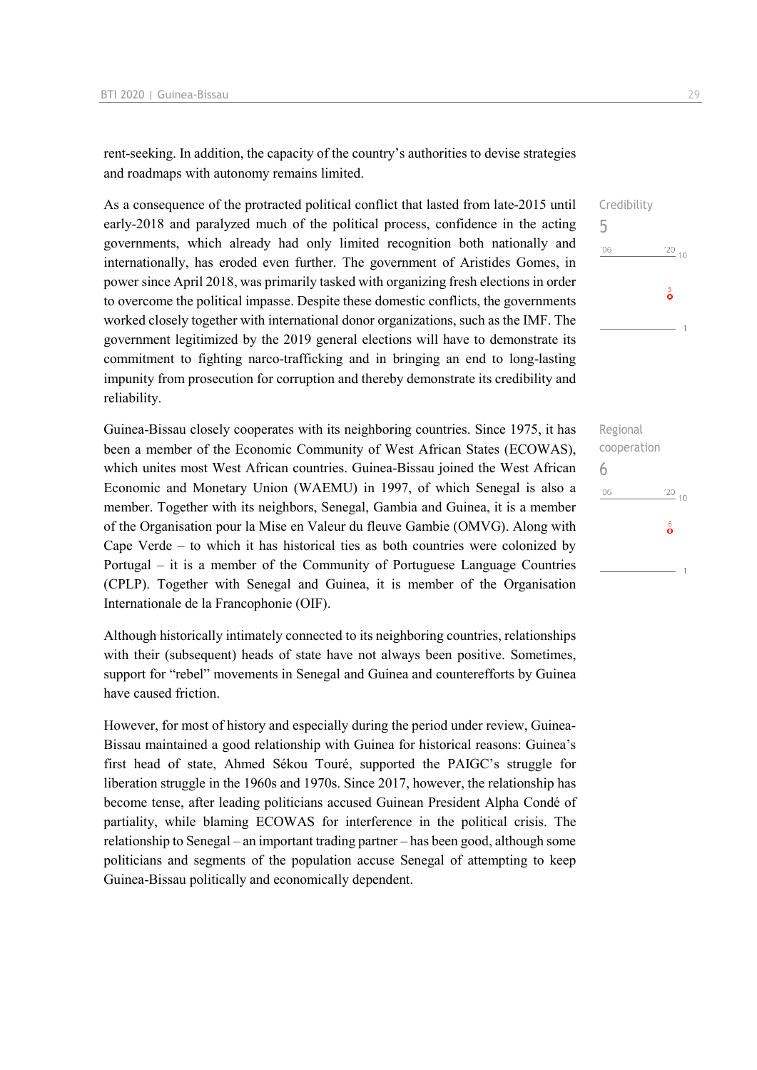rent-seeking. In addition, the capacity of the country's authorities to devise strategies and roadmaps with autonomy remains limited.

As a consequence of the protracted political conflict that lasted from late-2015 until early-2018 and paralyzed much of the political process, confidence in the acting governments, which already had only limited recognition both nationally and internationally, has eroded even further. The government of Aristides Gomes, in power since April 2018, was primarily tasked with organizing fresh elections in order to overcome the political impasse. Despite these domestic conflicts, the governments worked closely together with international donor organizations, such as the IMF. The government legitimized by the 2019 general elections will have to demonstrate its commitment to fighting narco-trafficking and in bringing an end to long-lasting impunity from prosecution for corruption and thereby demonstrate its credibility and reliability.

Guinea-Bissau closely cooperates with its neighboring countries. Since 1975, it has been a member of the Economic Community of West African States (ECOWAS), which unites most West African countries. Guinea-Bissau joined the West African Economic and Monetary Union (WAEMU) in 1997, of which Senegal is also a member. Together with its neighbors, Senegal, Gambia and Guinea, it is a member of the Organisation pour la Mise en Valeur du fleuve Gambie (OMVG). Along with Cape Verde – to which it has historical ties as both countries were colonized by Portugal – it is a member of the Community of Portuguese Language Countries (CPLP). Together with Senegal and Guinea, it is member of the Organisation Internationale de la Francophonie (OIF).

Although historically intimately connected to its neighboring countries, relationships with their (subsequent) heads of state have not always been positive. Sometimes, support for "rebel" movements in Senegal and Guinea and counterefforts by Guinea have caused friction.

However, for most of history and especially during the period under review, Guinea-Bissau maintained a good relationship with Guinea for historical reasons: Guinea's first head of state, Ahmed Sékou Touré, supported the PAIGC's struggle for liberation struggle in the 1960s and 1970s. Since 2017, however, the relationship has become tense, after leading politicians accused Guinean President Alpha Condé of partiality, while blaming ECOWAS for interference in the political crisis. The relationship to Senegal – an important trading partner – has been good, although some politicians and segments of the population accuse Senegal of attempting to keep Guinea-Bissau politically and economically dependent.

Regional cooperation 6 $-06$  $\frac{20}{10}$  $\frac{6}{2}$